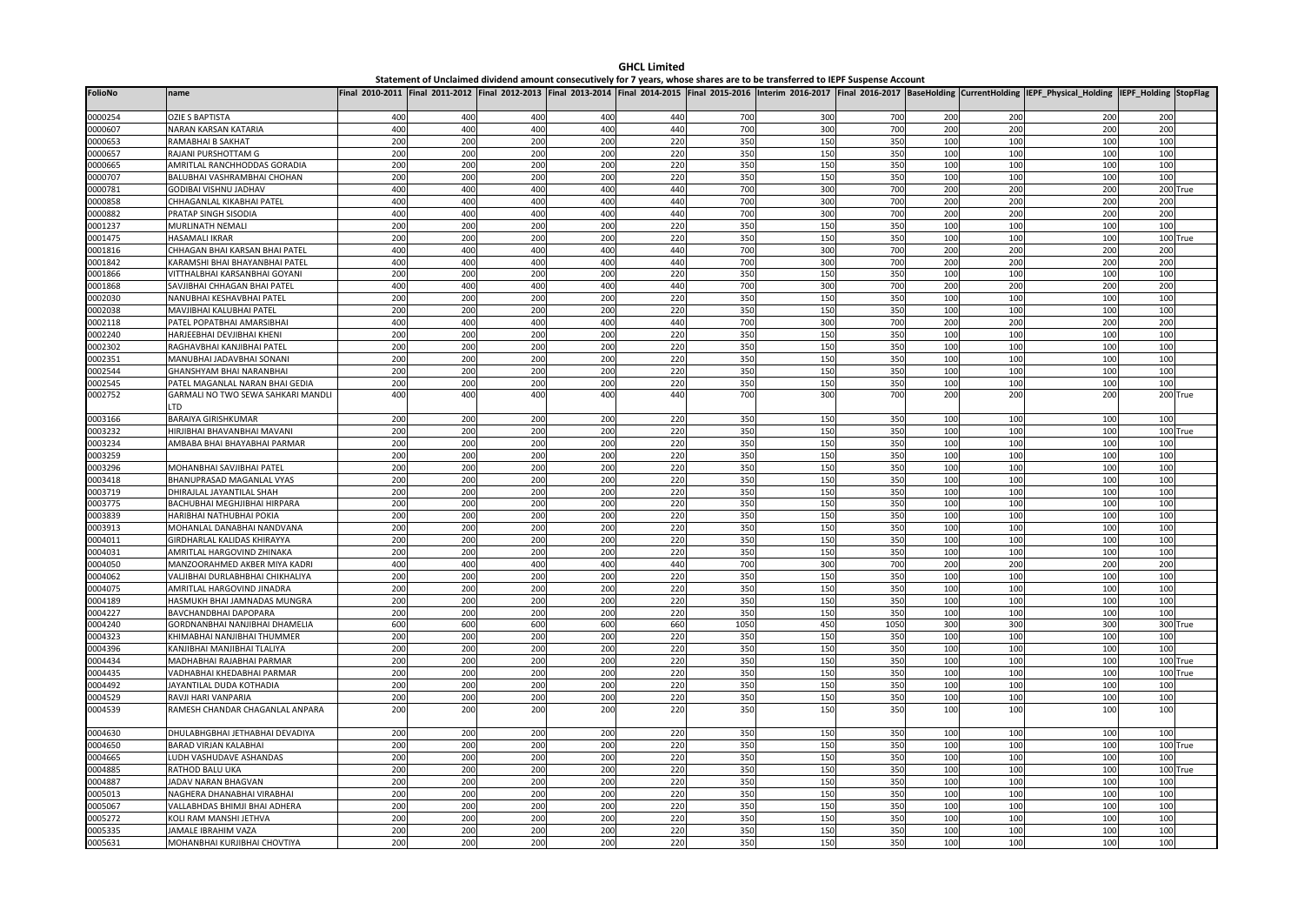| <b>FolioNo</b>     | name                                                  |            |            |            |            |            |            |            |            |            |            | Final 2010-2011  Final 2011-2012  Final 2012-2013  Final 2013-2014  Final 2014-2015  Final 2015-2016  Interim 2016-2017  Final 2016-2017  BaseHolding  CurrentHolding  IEPF Physical Holding | IEPF_Holding StopFlag |          |
|--------------------|-------------------------------------------------------|------------|------------|------------|------------|------------|------------|------------|------------|------------|------------|----------------------------------------------------------------------------------------------------------------------------------------------------------------------------------------------|-----------------------|----------|
| 0000254            | <b>OZIE S BAPTISTA</b>                                | 400        | 400        | 400        | 400        | 440        | 700        | 300        | 700        | 200        | 200        | 200                                                                                                                                                                                          | 200                   |          |
| 0000607            | <b>NARAN KARSAN KATARIA</b>                           | 400        | 400        | 400        | 400        | 440        | 700        | 300        | 700        | 200        | 200        | 200                                                                                                                                                                                          | 200                   |          |
| 0000653            | RAMABHAI B SAKHAT                                     | 200        | 200        | 200        | 200        | 220        | 350        | 150        | 350        | 100        | 100        | 100                                                                                                                                                                                          | 100                   |          |
| 0000657            | RAJANI PURSHOTTAM G                                   | 200        | 200        | 200        | 200        | 220        | 350        | 150        | 35C        | 100        | 100        | 100                                                                                                                                                                                          | 100                   |          |
| 0000665            | AMRITLAL RANCHHODDAS GORADIA                          | 200        | 200        | 200        | 200        | 220        | 350        | 150        | 35C        | 100        | 100        | 100                                                                                                                                                                                          | 100                   |          |
| 0000707            | BALUBHAI VASHRAMBHAI CHOHAN                           | 200        | 200        | 200        | 200        | 220        | 350        | 150        | 350        | 100        | 100        | 100                                                                                                                                                                                          | 100                   |          |
| 0000781            | GODIBAI VISHNU JADHAV                                 | 400        | 400        | 400        | 400        | 440        | 700        | 300        | 700        | 200        | 200        | 200                                                                                                                                                                                          |                       | 200 True |
| 0000858            | CHHAGANLAL KIKABHAI PATEL                             | 400        | 400        | 400        | 400        | 440        | 700        | 300        | 700        | 200        | 200        | 200                                                                                                                                                                                          | 200                   |          |
| 0000882            | PRATAP SINGH SISODIA                                  | 400        | 400        | 400        | 400        | 440        | 700        | 300        | 700        | 200        | 200        | 200                                                                                                                                                                                          | 200                   |          |
| 0001237            | MURLINATH NEMALI                                      | 200        | 200        | 200        | 200        | 220        | 350        | 150        | 350        | 100        | 100        | 100                                                                                                                                                                                          | 100                   |          |
| 0001475            | HASAMALI IKRAR                                        | 200        | 200        | 200        | 200        | 220        | 350        | 150        | 350        | 100        | 100        | 100                                                                                                                                                                                          |                       | 100 True |
| 0001816            | CHHAGAN BHAI KARSAN BHAI PATEL                        | 400        | 400        | 400        | 400        | 440        | 700        | 300        | 700        | 200        | 200        | 200                                                                                                                                                                                          | 200                   |          |
| 0001842            | KARAMSHI BHAI BHAYANBHAI PATEL                        | 400        | 400        | 400        | 400        | 440        | 700        | 300        | 700        | 200        | 200        | 200                                                                                                                                                                                          | 200                   |          |
| 0001866            | VITTHALBHAI KARSANBHAI GOYANI                         | 200        | 200        | 200        | 200        | 220        | 350        | 150        | 350        | 100        | 100        | 100                                                                                                                                                                                          | 100                   |          |
| 0001868            | SAVJIBHAI CHHAGAN BHAI PATEL                          | 400        | 400        | 400        | 400        | 440        | 700        | 300        | 700        | 200        | 200        | 200                                                                                                                                                                                          | 200                   |          |
| 0002030            | NANUBHAI KESHAVBHAI PATEL                             | 200        | 200        | 200        | 200        | 220        | 350        | 150        | 350        | 100        | 100        | 100                                                                                                                                                                                          | 100                   |          |
| 0002038            | MAVJIBHAI KALUBHAI PATEL                              | 200        | 200        | 200        | 200        | 220        | 350        | 150        | 35C        | 100        | 100        | 100                                                                                                                                                                                          | 100                   |          |
| 0002118            | PATEL POPATBHAI AMARSIBHAI                            | 400        | 400        | 400        | 400        | 440        | 700        | 300        | 700        | 200        | 200        | 200                                                                                                                                                                                          | 200                   |          |
| 0002240            | HARJEEBHAI DEVJIBHAI KHENI                            | 200        | 200        | 200        | 200        | 220        | 350        | 150        | 350        | 100        | 100        | 100                                                                                                                                                                                          | 100                   |          |
| 0002302            | RAGHAVBHAI KANJIBHAI PATEI                            | 200        | 200        | 200        | 200        | 220        | 350        | 150        | 350        | 100        | 100        | 100                                                                                                                                                                                          | 100                   |          |
| 0002351            | MANUBHAI JADAVBHAI SONANI                             | 200        | 200        | 200        | 200        | 220        | 350        | 150        | 35C        | 100        | 100        | 100                                                                                                                                                                                          | 100                   |          |
| 0002544            | GHANSHYAM BHAI NARANBHAI                              | 200        | 200        | 200        | 200        | 220        | 350        | 150        | 350        | 100        | 100        | 100                                                                                                                                                                                          | 100                   |          |
| 0002545            | PATEL MAGANLAL NARAN BHAI GEDIA                       | 200        | 200        | 200        | 200        | 220        | 350        | 150        | 350        | 100        | 100        | 100                                                                                                                                                                                          | 100                   |          |
| 0002752            | GARMALI NO TWO SEWA SAHKARI MANDLI<br>TD.             | 400        | 400        | 400        | 400        | 440        | 700        | 300        | 700        | 200        | 200        | 200                                                                                                                                                                                          |                       | 200 True |
| 0003166            | BARAIYA GIRISHKUMAR                                   | 200        | 200        | 200        | 200        | 220        | 350        | 150        | 350        | 100        | 100        | 100                                                                                                                                                                                          | 100                   |          |
| 0003232            | HIRJIBHAI BHAVANBHAI MAVANI                           | 200        | 200        | 200        | 200        | 220        | 350        | 150        | 350        | 100        | 100        | 100                                                                                                                                                                                          |                       | 100 True |
| 0003234            | AMBABA BHAI BHAYABHAI PARMAR                          | 200        | 200        | 200        | 200        | 220        | 350        | 150        | 350        | 100        | 100        | 100                                                                                                                                                                                          | 100                   |          |
| 0003259            |                                                       | 200        | 200        | 200        | 200        | 220        | 350        | 150        | 350        | 100        | 100        | 100                                                                                                                                                                                          | 100                   |          |
| 0003296            | MOHANBHAI SAVJIBHAI PATEL                             | 200        | 200        | 200        | 200        | 220        | 350        | 150        | 350        | 100        | 100        | 100                                                                                                                                                                                          | 100                   |          |
| 0003418            | <b>BHANUPRASAD MAGANLAL VYAS</b>                      | 200        | 200        | 200        | 200        | 220        | 350        | 150        | 350        | 100        | 100        | 100                                                                                                                                                                                          | 100                   |          |
| 0003719            | DHIRAJLAL JAYANTILAL SHAH                             | 200        | 200        | 200        | 200        | 220        | 350        | 150        | 35C        | 100        | 100        | 100                                                                                                                                                                                          | 100                   |          |
| 0003775            | BACHUBHAI MEGHJIBHAI HIRPARA                          | 200        | 200        | 200        | 200        | 220        | 350        | 150        | 350        | 100        | 100        | 100                                                                                                                                                                                          | 100                   |          |
| 0003839            | HARIBHAI NATHUBHAI POKIA                              | 200        | 200        | 200        | 200        | 220        | 350        | 150        | 350        | 100        | 100        | 100                                                                                                                                                                                          | 100                   |          |
| 0003913            | MOHANLAL DANABHAI NANDVANA                            | 200        | 200        | 200        | 200        | 220        | 350        | 150        | 35C        | 100        | 100        | 100                                                                                                                                                                                          | 100                   |          |
| 0004011            | GIRDHARLAL KALIDAS KHIRAYYA                           | 200        | 200        | 200        | 200        | 220        | 350        | 150        | 350        | 100        | 100        | 100                                                                                                                                                                                          | 100                   |          |
| 0004031            | AMRITLAL HARGOVIND ZHINAKA                            | 200        | 200        | 200        | 200        | 220        | 350        | 150        | 350        | 100        | 100        | 100                                                                                                                                                                                          | 100                   |          |
| 0004050            | MANZOORAHMED AKBER MIYA KADRI                         | 400        | 400        | 400        | 400        | 440        | 700        | 300        | 700        | 200        | 200        | 200                                                                                                                                                                                          | 200                   |          |
| 0004062            | VALJIBHAI DURLABHBHAI CHIKHALIYA                      | 200        | 200        | 200        | 200        | 220        | 350        | 150        | 350        | 100        | 100        | 100                                                                                                                                                                                          | 100                   |          |
| 0004075            | AMRITLAL HARGOVIND JINADRA                            | 200        | 200        | 200        | 200        | 220        | 350        | 150        | 350        | 100        | 100        | 100                                                                                                                                                                                          | 100                   |          |
| 0004189<br>0004227 | HASMUKH BHAI JAMNADAS MUNGRA<br>BAVCHANDBHAI DAPOPARA | 200<br>200 | 200<br>200 | 200<br>200 | 200<br>200 | 220<br>220 | 350<br>350 | 150<br>150 | 350<br>350 | 100<br>100 | 100<br>100 | 100<br>100                                                                                                                                                                                   | 100<br>100            |          |
| 0004240            | GORDNANBHAI NANJIBHAI DHAMELIA                        | 600        | 600        | 600        | 600        | 660        | 1050       | 450        | 1050       | 300        | 300        | 300                                                                                                                                                                                          |                       | 300 True |
| 0004323            | KHIMABHAI NANJIBHAI THUMMER                           | 200        | 200        | 200        | 200        | 220        | 350        | 150        | 350        | 100        | 100        | 100                                                                                                                                                                                          | 100                   |          |
| 0004396            | KANJIBHAI MANJIBHAI TLALIYA                           | 200        | 200        | 200        | 200        | 220        | 350        | 150        | 350        | 100        | 100        | 100                                                                                                                                                                                          | 100                   |          |
| 0004434            | MADHABHAI RAJABHAI PARMAR                             | 200        | 200        | 200        | 200        | 220        | 350        | 150        | 350        | 100        | 100        | 100                                                                                                                                                                                          |                       | 100 True |
| 0004435            | VADHABHAI KHEDABHAI PARMAR                            | 200        | 200        | 200        | 200        | 220        | 350        | 150        | 350        | 100        | 100        | 100                                                                                                                                                                                          |                       | 100 True |
| 0004492            | JAYANTILAL DUDA KOTHADIA                              | 200        | 200        | 200        | 200        | 220        | 350        | 150        | 350        | 100        | 100        | 100                                                                                                                                                                                          | 100                   |          |
| 0004529            | RAVJI HARI VANPARIA                                   | 200        | 200        | 200        | 200        | 220        | 350        | 150        | 350        | 100        | 100        | 100                                                                                                                                                                                          | 100                   |          |
| 0004539            | RAMESH CHANDAR CHAGANLAL ANPARA                       | 200        | 200        | 200        | 200        | 220        | 350        | 150        | 350        | 100        | 100        | 100                                                                                                                                                                                          | 100                   |          |
| 0004630            | DHULABHGBHAI JETHABHAI DEVADIYA                       | 200        | 200        | 200        | 200        | 220        | 350        | 150        | 350        | 100        | 100        | 100                                                                                                                                                                                          | 100                   |          |
| 0004650            | BARAD VIRJAN KALABHAI                                 | 200        | 200        | 200        | 200        | 220        | 350        | 150        | 350        | 100        | 100        | 100                                                                                                                                                                                          |                       | 100 True |
| 0004665            | LUDH VASHUDAVE ASHANDAS                               | 200        | 200        | 200        | 200        | 220        | 350        | 150        | 350        | 100        | 100        | 100                                                                                                                                                                                          | 100                   |          |
| 0004885            | RATHOD BALU UKA                                       | 200        | 200        | 200        | 200        | 220        | 350        | 150        | 350        | 100        | 100        | 10                                                                                                                                                                                           |                       | 100 True |
| 0004887            | JADAV NARAN BHAGVAN                                   | 200        | 200        | 200        | 200        | 220        | 350        | 150        | 350        | 100        | 100        | 100                                                                                                                                                                                          | 100                   |          |
| 0005013            | NAGHERA DHANABHAI VIRABHAI                            | 200        | 200        | 200        | 200        | 220        | 350        | 150        | 35C        | 100        | 100        | 100                                                                                                                                                                                          | 100                   |          |
| 0005067            | VALLABHDAS BHIMJI BHAI ADHERA                         | 200        | 200        | 200        | 200        | 220        | 350        | 150        | 350        | 100        | 100        | 100                                                                                                                                                                                          | 100                   |          |
| 0005272            | KOLI RAM MANSHI JETHVA                                | 200        | 200        | 200        | 200        | 220        | 350        | 150        | 350        | 100        | 100        | 100                                                                                                                                                                                          | 100                   |          |
| 0005335            | JAMALE IBRAHIM VAZA                                   | 200        | 200        | 200        | 200        | 220        | 350        | 150        | 350        | 100        | 100        | 100                                                                                                                                                                                          | 100                   |          |
| 0005631            | MOHANBHAI KURJIBHAI CHOVTIYA                          | 200        | 200        | 200        | 200        | 220        | 350        | 150        | 350        | 100        | 100        | 100                                                                                                                                                                                          | 100                   |          |

**GHCL Limited** Statement of Unclaimed dividend amount consecutively for 7 years, whose shares are to be transferred to IEPF Suspense Account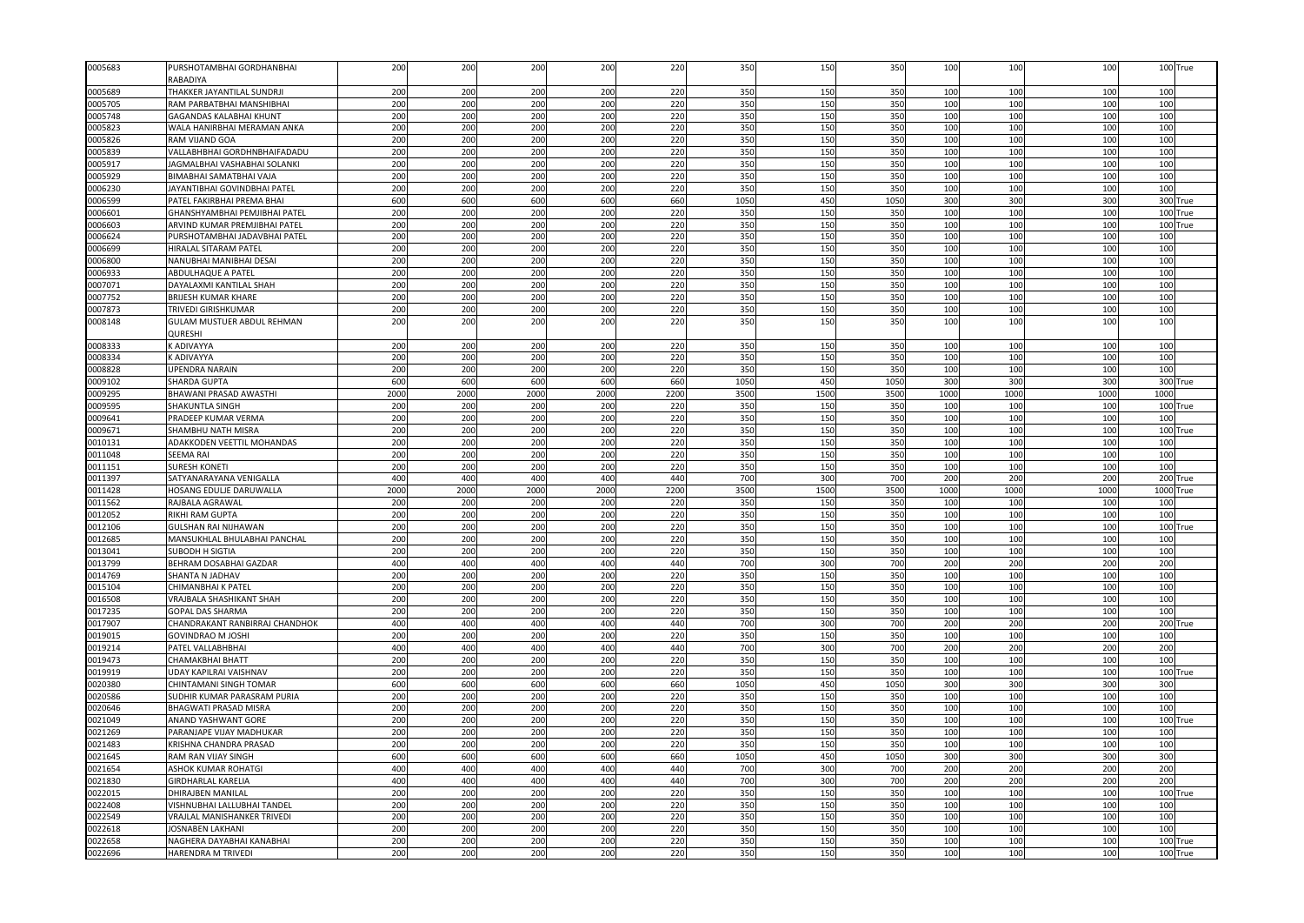| 0005683 | PURSHOTAMBHAI GORDHANBHAI         | 200  | 200        | 200  | 200  | 220  | 350  | 150  | 350  | 100  | 100  | 100             |      | 100 True   |
|---------|-----------------------------------|------|------------|------|------|------|------|------|------|------|------|-----------------|------|------------|
|         | RABADIYA                          |      |            |      |      |      |      |      |      |      |      |                 |      |            |
| 0005689 | THAKKER JAYANTILAL SUNDRJI        | 200  | 200        | 200  | 200  | 220  | 350  | 150  | 350  | 100  | 100  | 100             | 100  |            |
| 0005705 | RAM PARBATBHAI MANSHIBHAI         | 200  | 200        | 200  | 200  | 220  | 350  | 150  | 350  | 100  | 100  | 10 <sub>C</sub> | 100  |            |
| 0005748 | <b>GAGANDAS KALABHAI KHUNT</b>    | 200  | 200        | 200  | 200  | 220  | 350  | 150  | 350  | 100  | 100  | 100             | 100  |            |
| 0005823 | WALA HANIRBHAI MERAMAN ANKA       | 200  | 200        | 200  | 200  | 220  | 350  | 150  | 350  | 100  | 100  | 100             | 100  |            |
| 0005826 | RAM VIJAND GOA                    | 200  | 200        | 200  | 200  | 220  | 350  | 150  | 350  | 100  | 100  | 100             | 100  |            |
| 0005839 | VALLABHBHAI GORDHNBHAIFADADU      | 200  | 200        | 200  | 200  | 220  | 350  | 150  | 350  | 100  | 100  | 100             | 100  |            |
| 0005917 | JAGMALBHAI VASHABHAI SOLANKI      | 200  | 200        | 200  | 200  | 220  | 350  | 150  | 350  | 100  | 100  | 100             | 100  |            |
| 0005929 | BIMABHAI SAMATBHAI VAJA           | 200  | 200        | 200  | 200  | 220  | 350  | 150  | 350  | 100  | 100  | 100             | 100  |            |
| 0006230 | JAYANTIBHAI GOVINDBHAI PATEI      | 200  | 200        | 200  | 200  | 220  | 350  | 150  | 350  | 100  | 100  | 100             | 100  |            |
| 0006599 | PATEL FAKIRBHAI PREMA BHAI        | 600  | 600        | 600  | 600  | 660  | 1050 | 450  | 1050 | 300  | 300  | 300             |      | 300 True   |
| 0006601 | GHANSHYAMBHAI PEMJIBHAI PATEI     | 200  | 200        | 200  | 200  | 220  | 350  | 15C  | 350  | 100  | 100  | 10 <sub>C</sub> |      | 100 True   |
| 0006603 | ARVIND KUMAR PREMJIBHAI PATEL     | 200  | 200        | 200  | 200  | 220  | 350  | 150  | 350  | 100  | 100  | 100             |      | 100 True   |
| 0006624 | PURSHOTAMBHAI JADAVBHAI PATEL     | 200  | 200        | 200  | 200  | 220  | 350  | 150  | 350  | 100  | 100  | 100             | 100  |            |
| 0006699 | <b>HIRALAL SITARAM PATEL</b>      | 200  | 200        | 200  | 200  | 220  | 350  | 150  | 350  | 100  | 100  | 100             | 100  |            |
| 0006800 | NANUBHAI MANIBHAI DESAI           | 200  | 200        | 200  | 200  | 220  | 350  | 150  | 350  | 100  | 100  | 100             | 100  |            |
| 0006933 | ABDULHAQUE A PATEL                | 200  | 200        | 200  | 200  | 220  | 350  | 150  | 350  | 100  | 100  | 100             | 100  |            |
| 0007071 | DAYALAXMI KANTILAL SHAH           | 200  | 200        | 200  | 200  | 220  | 350  | 150  | 350  | 100  | 100  | 100             | 100  |            |
| 0007752 | BRIJESH KUMAR KHARE               | 200  | 200        | 200  | 200  | 220  | 350  | 150  | 350  | 100  | 100  | 100             | 100  |            |
| 0007873 | TRIVEDI GIRISHKUMAR               | 200  | 200        | 200  | 200  | 220  | 350  | 150  | 350  | 100  | 100  | 100             | 100  |            |
| 0008148 | <b>GULAM MUSTUER ABDUL REHMAN</b> | 200  | 200        | 200  | 200  | 220  | 350  | 150  | 350  | 100  | 100  | 100             | 100  |            |
|         | QURESHI                           |      |            |      |      |      |      |      |      |      |      |                 |      |            |
| 0008333 | K ADIVAYYA                        | 200  | 200        | 200  | 200  | 220  | 350  | 150  | 350  | 100  | 100  | 100             | 100  |            |
| 0008334 | K ADIVAYYA                        | 200  | 200        | 200  | 200  | 220  | 350  | 150  | 350  | 100  | 100  | 100             | 100  |            |
| 0008828 | JPENDRA NARAIN                    | 200  | 200        | 200  | 200  | 220  | 350  | 150  | 350  | 100  | 100  | 100             | 100  |            |
| 0009102 | <b>SHARDA GUPTA</b>               | 600  | 600        | 600  | 600  | 660  | 105  | 45C  | 1050 | 300  | 300  | 300             | 300  | True       |
|         |                                   |      | 2000       |      |      |      |      |      |      |      | 1000 |                 | 1000 |            |
| 0009295 | BHAWANI PRASAD AWASTHI            | 2000 |            | 2000 | 2000 | 2200 | 3500 | 1500 | 3500 | 1000 | 100  | 1000            |      |            |
| 0009595 | SHAKUNTLA SINGH                   | 200  | 200<br>200 | 200  | 200  | 220  | 350  | 150  | 350  | 100  |      | 100             |      | 100 True   |
| 0009641 | PRADEEP KUMAR VERMA               | 200  |            | 200  | 200  | 220  | 350  | 150  | 350  | 100  | 100  | 100             | 100  |            |
| 0009671 | SHAMBHU NATH MISRA                | 200  | 200        | 200  | 200  | 220  | 350  | 150  | 350  | 100  | 100  | 100             | 100  | <b>rue</b> |
| 0010131 | ADAKKODEN VEETTIL MOHANDAS        | 200  | 200        | 200  | 200  | 220  | 350  | 150  | 350  | 100  | 100  | 100             | 100  |            |
| 0011048 | SEEMA RAI                         | 200  | 200        | 200  | 200  | 220  | 350  | 150  | 350  | 100  | 100  | 100             | 100  |            |
| 0011151 | <b>SURESH KONETI</b>              | 200  | 200        | 200  | 200  | 220  | 350  | 150  | 350  | 100  | 100  | 100             | 100  |            |
| 0011397 | SATYANARAYANA VENIGALLA           | 400  | 400        | 400  | 400  | 440  | 700  | 300  | 700  | 200  | 200  | 200             |      | 200 True   |
| 0011428 | HOSANG EDULJE DARUWALLA           | 2000 | 2000       | 200  | 2000 | 2200 | 3500 | 1500 | 3500 | 1000 | 1000 | 1000            | 1000 | True       |
| 0011562 | RAJBALA AGRAWAL                   | 200  | 200        | 200  | 200  | 220  | 350  | 150  | 350  | 100  | 100  | 100             | 100  |            |
| 0012052 | RIKHI RAM GUPTA                   | 200  | 200        | 200  | 200  | 220  | 350  | 150  | 350  | 100  | 100  | 100             | 100  |            |
| 0012106 | GULSHAN RAI NIJHAWAN              | 200  | 200        | 200  | 200  | 220  | 350  | 150  | 350  | 100  | 100  | 100             | 100  | True       |
| 0012685 | MANSUKHLAL BHULABHAI PANCHAL      | 200  | 200        | 200  | 200  | 220  | 350  | 15C  | 350  | 100  | 100  | 100             | 100  |            |
| 0013041 | <b>SUBODH H SIGTIA</b>            | 200  | 200        | 200  | 200  | 220  | 350  | 150  | 350  | 100  | 100  | 100             | 100  |            |
| 0013799 | BEHRAM DOSABHAI GAZDAR            | 400  | 400        | 400  | 400  | 440  | 700  | 300  | 700  | 200  | 200  | 200             | 200  |            |
| 0014769 | SHANTA N JADHAV                   | 200  | 200        | 200  | 200  | 220  | 350  | 150  | 350  | 100  | 100  | 100             | 100  |            |
| 0015104 | CHIMANBHAI K PATEL                | 200  | 200        | 200  | 200  | 220  | 350  | 150  | 350  | 100  | 100  | 100             | 100  |            |
| 0016508 | VRAJBALA SHASHIKANT SHAH          | 200  | 200        | 200  | 200  | 220  | 350  | 150  | 350  | 100  | 100  | 100             | 100  |            |
| 0017235 | GOPAL DAS SHARMA                  | 200  | 200        | 200  | 200  | 220  | 350  | 150  | 350  | 100  | 100  | 100             | 100  |            |
| 0017907 | CHANDRAKANT RANBIRRAJ CHANDHOK    | 400  | 400        | 400  | 400  | 440  | 700  | 300  | 700  | 200  | 200  | 200             |      | 200 True   |
| 0019015 | GOVINDRAO M JOSHI                 | 200  | 200        | 200  | 200  | 220  | 350  | 150  | 350  | 100  | 100  | 100             | 100  |            |
| 0019214 | PATEL VALLABHBHAI                 | 400  | 400        | 400  | 400  | 440  | 700  | 300  | 700  | 200  | 200  | 200             | 200  |            |
| 0019473 | CHAMAKBHAI BHATT                  | 200  | 200        | 200  | 200  | 220  | 350  | 150  | 350  | 100  | 100  | 100             | 100  |            |
| 0019919 | JDAY KAPILRAI VAISHNAV            | 200  | 200        | 200  | 200  | 220  | 350  | 150  | 350  | 100  | 100  | 100             |      | 100 True   |
| 0020380 | CHINTAMANI SINGH TOMAR            | 600  | 600        | 600  | 600  | 660  | 1050 | 450  | 1050 | 300  | 300  | 300             | 300  |            |
| 0020586 | SUDHIR KUMAR PARASRAM PURIA       | 200  | 200        | 200  | 200  | 220  | 350  | 150  | 350  | 100  | 100  | 100             | 100  |            |
| 0020646 | <b>BHAGWATI PRASAD MISRA</b>      | 200  | 200        | 200  | 200  | 220  | 350  | 150  | 350  | 100  | 100  | 100             | 100  |            |
| 0021049 | ANAND YASHWANT GORE               | 200  | 200        | 200  | 200  | 220  | 350  | 150  | 350  | 100  | 100  | 100             | 100  | True       |
| 0021269 | PARANJAPE VIJAY MADHUKAR          | 200  | 200        | 200  | 200  | 220  | 350  | 150  | 350  | 100  | 100  | 100             | 100  |            |
| 0021483 | KRISHNA CHANDRA PRASAD            | 200  | 200        | 200  | 200  | 220  | 350  | 150  | 350  | 100  | 100  | 100             | 100  |            |
| 0021645 | RAM RAN VIJAY SINGH               | 600  | 600        | 600  | 600  | 660  | 1050 | 450  | 1050 | 300  | 300  | 300             | 300  |            |
| 0021654 | ASHOK KUMAR ROHATGI               | 400  | 400        | 400  | 400  | 440  | 700  | 300  | 700  | 200  | 200  | 200             | 200  |            |
| 0021830 | GIRDHARLAL KARELIA                | 400  | 400        | 400  | 400  | 440  | 700  | 300  | 700  | 200  | 200  | 200             | 200  |            |
| 0022015 | DHIRAJBEN MANILAL                 | 200  | 200        | 200  | 200  | 220  | 350  | 150  | 350  | 100  | 100  | 100             |      | 100 True   |
| 0022408 | VISHNUBHAI LALLUBHAI TANDEI       | 200  | 200        | 200  | 200  | 220  | 350  | 150  | 350  | 100  | 100  | 100             | 100  |            |
| 0022549 | VRAJLAL MANISHANKER TRIVEDI       | 200  | 200        | 200  | 200  | 220  | 350  | 150  | 350  | 100  | 100  | 100             | 100  |            |
| 0022618 | <b>OSNABEN LAKHANI</b>            | 200  | 200        | 200  | 200  | 220  | 350  | 150  | 350  | 100  | 100  | 100             | 100  |            |
| 0022658 | NAGHERA DAYABHAI KANABHAI         | 200  | 200        | 200  | 200  | 220  | 350  | 150  | 350  | 100  | 100  | 100             |      | 100 True   |
| 0022696 | HARENDRA M TRIVEDI                | 200  | 200        | 200  | 200  | 220  | 350  | 150  | 350  | 100  | 100  | 100             |      | 100 True   |
|         |                                   |      |            |      |      |      |      |      |      |      |      |                 |      |            |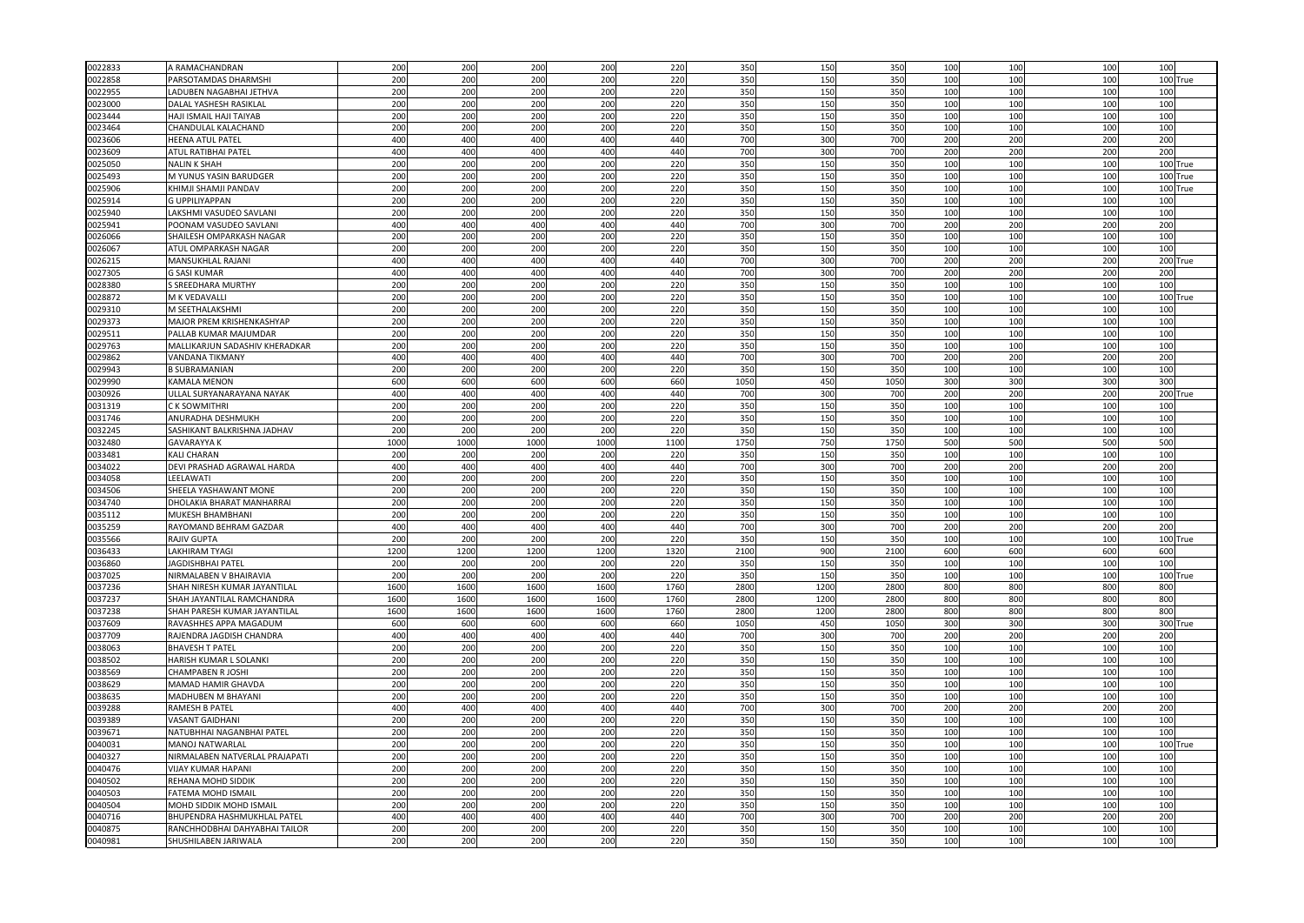| 0022833 | A RAMACHANDRAN                 | 200  | 200  | 200  | 200  | 220  | 350  | 150  | 350  | 100 | 100 | 100             | 100 |            |
|---------|--------------------------------|------|------|------|------|------|------|------|------|-----|-----|-----------------|-----|------------|
| 0022858 | PARSOTAMDAS DHARMSHI           | 200  | 200  | 200  | 200  | 220  | 350  | 150  | 350  | 100 | 100 | 100             |     | 100 True   |
|         |                                |      |      |      |      |      |      |      |      |     |     |                 |     |            |
| 0022955 | <b>LADUBEN NAGABHAI JETHVA</b> | 200  | 200  | 200  | 200  | 220  | 350  | 150  | 350  | 100 | 100 | 100             | 100 |            |
| 0023000 | DALAL YASHESH RASIKLAL         | 200  | 200  | 200  | 200  | 220  | 350  | 150  | 350  | 100 | 100 | 100             | 100 |            |
| 0023444 | HAJI ISMAIL HAJI TAIYAB        | 200  | 200  | 200  | 200  | 220  | 350  | 150  | 350  | 100 | 100 | 100             | 100 |            |
| 0023464 | CHANDULAL KALACHAND            | 200  | 200  | 200  | 200  | 220  | 350  | 150  | 350  | 100 | 100 | 100             | 100 |            |
| 0023606 | <b>HEENA ATUL PATEL</b>        | 400  | 400  | 400  | 400  | 440  | 700  | 300  | 700  | 200 | 200 | 200             | 200 |            |
| 023609  | ATUL RATIBHAI PATEL            | 400  | 400  | 400  | 400  | 440  | 700  | 300  | 700  | 200 | 200 | 200             | 200 |            |
| 0025050 | <b>NALIN K SHAH</b>            | 200  | 200  | 200  | 200  | 220  | 350  | 150  | 350  | 100 | 100 | 100             |     | 100 True   |
| 0025493 | M YUNUS YASIN BARUDGER         | 200  | 200  | 200  | 200  | 220  | 350  | 150  | 350  | 100 | 100 | 100             |     | 100 True   |
| 0025906 | KHIMJI SHAMJI PANDAV           | 200  | 200  | 200  | 200  | 220  | 350  | 15C  | 350  | 100 | 100 | 100             |     | 100 True   |
|         |                                |      |      |      |      |      |      |      |      |     |     |                 |     |            |
| 0025914 | <b>G UPPILIYAPPAN</b>          | 200  | 200  | 200  | 200  | 220  | 350  | 150  | 350  | 100 | 100 | 100             | 100 |            |
| 025940  | LAKSHMI VASUDEO SAVLANI        | 200  | 200  | 200  | 200  | 220  | 350  | 150  | 350  | 100 | 100 | 10 <sub>C</sub> | 100 |            |
| 0025941 | POONAM VASUDEO SAVLANI         | 400  | 400  | 400  | 400  | 440  | 700  | 300  | 700  | 200 | 200 | 200             | 200 |            |
| 026066  | SHAILESH OMPARKASH NAGAR       | 200  | 200  | 200  | 200  | 220  | 350  | 150  | 35   | 100 | 100 | 100             | 100 |            |
| 0026067 | ATUL OMPARKASH NAGAR           | 200  | 200  | 200  | 200  | 220  | 350  | 150  | 350  | 100 | 100 | 100             | 100 |            |
| 0026215 | MANSUKHLAL RAJANI              | 400  | 400  | 400  | 400  | 440  | 700  | 300  | 700  | 200 | 200 | 200             |     | 200 True   |
| 0027305 | <b>G SASI KUMAR</b>            | 400  | 400  | 400  | 400  | 440  | 700  | 300  | 70   | 200 | 200 | 200             | 200 |            |
|         |                                |      |      |      |      |      | 350  |      |      |     | 100 |                 |     |            |
| 0028380 | S SREEDHARA MURTHY             | 200  | 200  | 200  | 200  | 220  |      | 150  | 350  | 100 |     | 100             | 100 |            |
| 028872  | M K VEDAVALLI                  | 200  | 200  | 200  | 200  | 220  | 350  | 150  | 350  | 100 | 100 | 100             | 100 | <b>rue</b> |
| 0029310 | M SEETHALAKSHMI                | 200  | 200  | 200  | 200  | 220  | 350  | 150  | 350  | 100 | 100 | 100             | 100 |            |
| 0029373 | MAJOR PREM KRISHENKASHYAP      | 200  | 200  | 200  | 200  | 220  | 350  | 150  | 350  | 100 | 100 | 100             | 100 |            |
| 0029511 | PALLAB KUMAR MAJUMDAR          | 200  | 200  | 200  | 200  | 220  | 350  | 150  | 350  | 100 | 100 | 100             | 100 |            |
| 0029763 | MALLIKARJUN SADASHIV KHERADKAR | 200  | 200  | 200  | 200  | 220  | 350  | 150  | 350  | 100 | 100 | 100             | 100 |            |
| 029862  | <b>VANDANA TIKMANY</b>         | 400  | 400  | 400  | 400  | 440  | 700  | 300  | 70   | 200 | 200 | 200             | 200 |            |
| 0029943 | <b>B SUBRAMANIAN</b>           | 200  | 200  | 200  | 200  | 220  | 350  | 150  | 35   | 100 | 100 | 100             | 100 |            |
| 0029990 | <b>KAMALA MENON</b>            | 600  | 600  | 600  | 600  | 660  | 1050 | 450  | 105  | 300 | 300 | 300             | 300 |            |
|         |                                |      |      |      |      |      |      |      |      |     |     |                 |     |            |
| 0030926 | ULLAL SURYANARAYANA NAYAK      | 400  | 400  | 400  | 400  | 440  | 700  | 300  | 700  | 200 | 200 | 200             |     | 200 True   |
| 0031319 | C K SOWMITHRI                  | 200  | 200  | 200  | 200  | 220  | 350  | 150  | 350  | 100 | 100 | 100             | 100 |            |
| 0031746 | ANURADHA DESHMUKH              | 200  | 200  | 200  | 200  | 220  | 350  | 150  | 350  | 100 | 100 | 100             | 100 |            |
| 0032245 | SASHIKANT BALKRISHNA JADHAV    | 200  | 200  | 200  | 200  | 220  | 350  | 150  | 350  | 100 | 100 | 100             | 100 |            |
| 0032480 | <b>GAVARAYYA K</b>             | 1000 | 1000 | 1000 | 1000 | 1100 | 175  | 750  | 175  | 500 | 500 | 500             | 500 |            |
| 0033481 | <b>KALI CHARAN</b>             | 200  | 200  | 200  | 200  | 220  | 350  | 150  | 350  | 100 | 100 | 100             | 100 |            |
| 0034022 | DEVI PRASHAD AGRAWAL HARDA     | 400  | 400  | 400  | 400  | 440  | 700  | 300  | 700  | 200 | 200 | 200             | 200 |            |
| 034058  | LEELAWATI                      | 200  | 200  | 200  | 200  | 220  | 350  | 15C  | 350  | 100 | 100 | 100             | 100 |            |
| 0034506 | SHEELA YASHAWANT MONE          | 200  | 200  | 200  | 200  | 220  | 350  | 150  | 350  | 100 | 100 | 100             | 100 |            |
|         |                                |      |      |      |      |      |      |      |      |     |     |                 |     |            |
| 0034740 | DHOLAKIA BHARAT MANHARRAI      | 200  | 200  | 200  | 200  | 220  | 350  | 150  | 350  | 100 | 100 | 100             | 100 |            |
| 0035112 | MUKESH BHAMBHANI               | 200  | 200  | 200  | 200  | 220  | 350  | 150  | 350  | 100 | 100 | 100             | 100 |            |
| 0035259 | RAYOMAND BEHRAM GAZDAR         | 400  | 400  | 400  | 400  | 440  | 700  | 300  | 700  | 200 | 200 | 200             | 200 |            |
| 0035566 | RAJIV GUPTA                    | 200  | 200  | 200  | 200  | 220  | 350  | 150  | 350  | 100 | 100 | 100             |     | 100 True   |
| 0036433 | <b>LAKHIRAM TYAGI</b>          | 1200 | 1200 | 1200 | 1200 | 1320 | 2100 | 900  | 2100 | 600 | 600 | 600             | 600 |            |
| 036860  | <b>JAGDISHBHAI PATEL</b>       | 200  | 200  | 200  | 200  | 220  | 350  | 150  | 350  | 100 | 100 | 100             | 100 |            |
| 0037025 | NIRMALABEN V BHAIRAVIA         | 200  | 200  | 200  | 200  | 220  | 350  | 150  | 350  | 100 | 100 | 100             |     | 100 True   |
| 0037236 | SHAH NIRESH KUMAR JAYANTILAI   | 1600 | 1600 | 160  | 1600 | 1760 | 2800 | 1200 | 280  | 800 | 800 | 800             | 800 |            |
|         |                                |      |      |      |      |      |      |      |      |     |     |                 |     |            |
| 0037237 | SHAH JAYANTILAL RAMCHANDRA     | 1600 | 1600 | 1600 | 1600 | 1760 | 2800 | 1200 | 280  | 800 | 800 | 800             | 800 |            |
| 0037238 | SHAH PARESH KUMAR JAYANTILAL   | 1600 | 1600 | 1600 | 1600 | 1760 | 2800 | 1200 | 280  | 800 | 800 | 800             | 800 |            |
| 0037609 | RAVASHHES APPA MAGADUM         | 600  | 600  | 600  | 600  | 660  | 1050 | 450  | 1050 | 300 | 300 | 300             |     | 300 True   |
| 0037709 | RAJENDRA JAGDISH CHANDRA       | 400  | 400  | 400  | 400  | 440  | 700  | 300  | 700  | 200 | 200 | 200             | 200 |            |
| 0038063 | BHAVESH T PATEL                | 200  | 200  | 200  | 200  | 220  | 35   | 150  | 350  | 100 | 100 | 100             | 100 |            |
| 0038502 | HARISH KUMAR L SOLANKI         | 200  | 200  | 200  | 200  | 220  | 350  | 150  | 350  | 100 | 100 | 100             | 100 |            |
| 0038569 | CHAMPABEN R JOSHI              | 200  | 200  | 200  | 200  | 220  | 350  | 150  | 350  | 100 | 100 | 10 <sub>C</sub> | 100 |            |
| 0038629 | MAMAD HAMIR GHAVDA             | 200  | 200  | 200  | 200  | 220  | 350  | 150  | 350  | 100 | 100 | 100             | 100 |            |
| 0038635 | MADHUBEN M BHAYANI             | 200  | 200  | 200  | 200  | 220  | 350  | 150  | 350  | 100 | 100 | 100             | 100 |            |
|         |                                |      |      | 400  |      |      |      |      |      |     |     |                 |     |            |
| 0039288 | <b>RAMESH B PATEL</b>          | 400  | 400  |      | 400  | 440  | 700  | 300  | 700  | 200 | 200 | 200             | 200 |            |
| 0039389 | <b>VASANT GAIDHANI</b>         | 200  | 200  | 200  | 200  | 220  | 350  | 150  | 350  | 100 | 100 | 100             | 100 |            |
| 0039671 | NATUBHHAI NAGANBHAI PATEL      | 200  | 200  | 200  | 200  | 220  | 350  | 150  | 350  | 100 | 100 | 100             | 100 |            |
| 0040031 | MANOJ NATWARLAL                | 200  | 200  | 200  | 200  | 220  | 350  | 150  | 350  | 100 | 100 | 100             | 100 | True       |
| 0040327 | NIRMALABEN NATVERLAL PRAJAPAT  | 200  | 200  | 200  | 200  | 220  | 350  | 150  | 35   | 100 | 100 | 10 <sub>C</sub> | 100 |            |
| 0040476 | <b>VIJAY KUMAR HAPANI</b>      | 200  | 200  | 200  | 200  | 220  | 350  | 150  | 350  | 100 | 100 | 100             | 100 |            |
| 0040502 | REHANA MOHD SIDDIK             | 200  | 200  | 200  | 200  | 220  | 350  | 150  | 350  | 100 | 100 | 100             | 100 |            |
| 0040503 | <b>FATEMA MOHD ISMAIL</b>      | 200  | 200  | 200  | 200  | 220  | 350  | 150  | 350  | 100 | 100 | 100             | 100 |            |
| 040504  | MOHD SIDDIK MOHD ISMAIL        | 200  | 200  | 200  | 200  | 220  | 350  | 150  | 350  | 100 | 100 | 100             | 100 |            |
|         |                                |      |      |      |      |      |      |      |      |     |     |                 |     |            |
| 040716  | BHUPENDRA HASHMUKHLAL PATEL    | 400  | 400  | 400  | 400  | 440  | 700  | 300  | 70   | 200 | 200 | 200             | 200 |            |
| 040875  | RANCHHODBHAI DAHYABHAI TAILOR  | 200  | 200  | 200  | 200  | 220  | 350  | 150  | 35   | 100 | 100 | 100             | 100 |            |
| 0040981 | SHUSHILABEN JARIWALA           | 200  | 200  | 200  | 200  | 220  | 350  | 150  | 350  | 100 | 100 | 100             | 100 |            |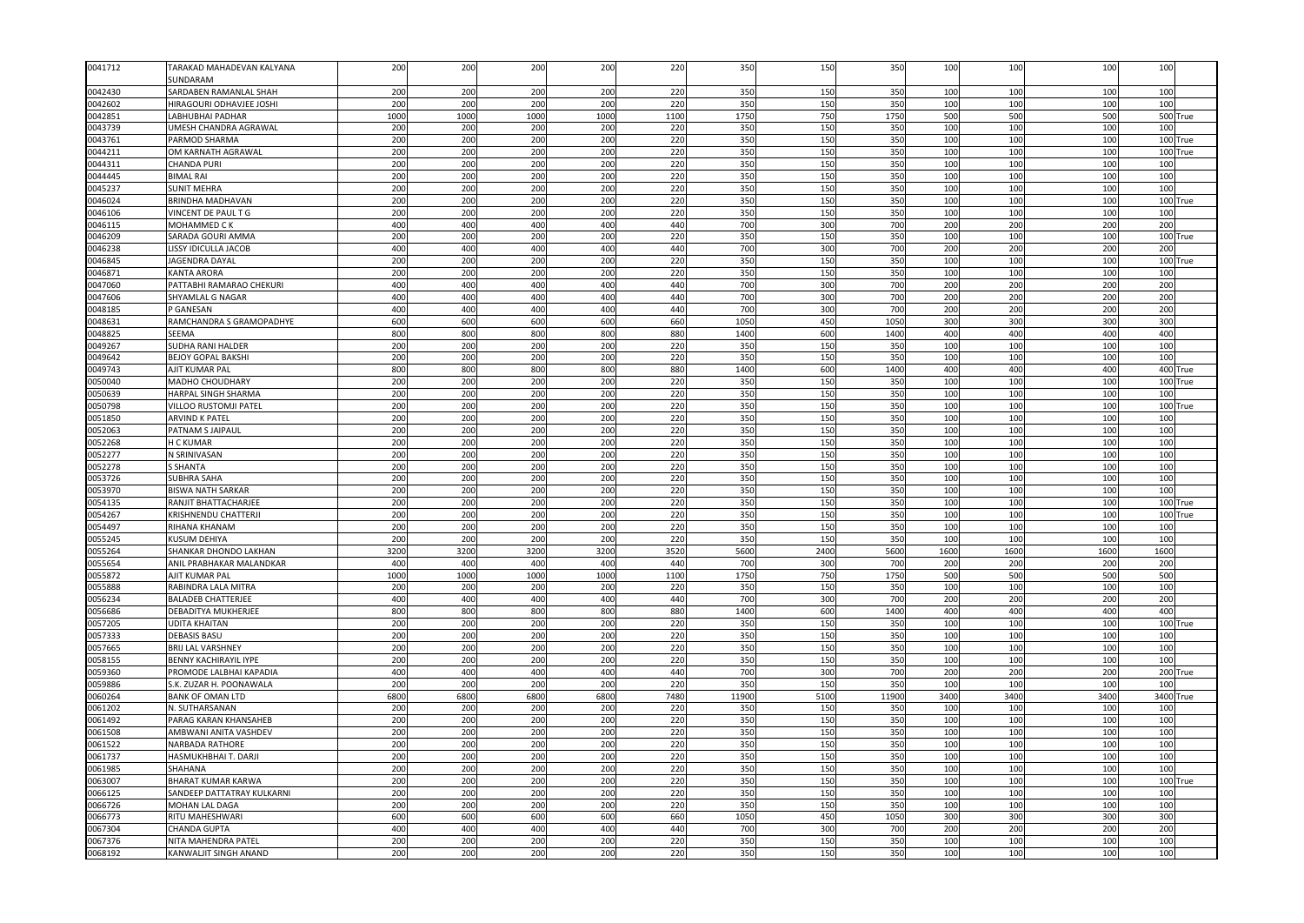| 0041712            | TARAKAD MAHADEVAN KALYANA                 | 200         | 200         | 200         | 200         | 220         | 350         | 150        | 350         | 100        | 100        | 100             | 100  |                      |
|--------------------|-------------------------------------------|-------------|-------------|-------------|-------------|-------------|-------------|------------|-------------|------------|------------|-----------------|------|----------------------|
|                    | <b>JUNDARAM</b>                           |             |             |             |             |             |             |            |             |            |            |                 |      |                      |
| 0042430            | SARDABEN RAMANLAL SHAH                    | 200         | 200         | 200         | 200         | 220         | 350         | 150        | 350         | 100        | 100        | 100             | 100  |                      |
| 0042602            | HIRAGOURI ODHAVJEE JOSHI                  | 200         | 200         | 200         | 200         | 220         | 350         | 150        | 35          | 100        | 100<br>500 | 100             | 100  |                      |
| 0042851<br>0043739 | LABHUBHAI PADHAR<br>UMESH CHANDRA AGRAWAL | 1000<br>200 | 1000<br>200 | 1000<br>200 | 1000<br>200 | 1100<br>220 | 1750<br>350 | 750<br>150 | 1750<br>350 | 500<br>100 | 100        | 500<br>100      | 100  | 500 True             |
|                    | PARMOD SHARMA                             | 200         | 200         | 200         | 200         | 220         | 350         | 150        | 350         | 100        | 100        | 100             |      |                      |
| 0043761<br>0044211 | OM KARNATH AGRAWAL                        | 200         | 200         | 200         | 200         | 220         | 350         | 150        | 350         | 100        | 100        | 100             |      | 100 True<br>100 True |
| 0044311            | <b>CHANDA PURI</b>                        | 200         | 200         | 200         | 200         | 220         | 350         | 150        | 350         | 100        | 100        | 100             | 100  |                      |
| 0044445            | <b>BIMAL RAI</b>                          | 200         | 200         | 200         | 200         | 220         | 350         | 150        | 350         | 100        | 100        | 100             | 100  |                      |
| 0045237            | <b>SUNIT MEHRA</b>                        | 200         | 200         | 200         | 200         | 220         | 350         | 150        | 350         | 100        | 100        | 100             | 100  |                      |
| 0046024            | <b>BRINDHA MADHAVAN</b>                   | 200         | 200         | 200         | 200         | 220         | 350         | 150        | 350         | 100        | 100        | 100             |      | 100 True             |
| 046106             | VINCENT DE PAUL T G                       | 200         | 200         | 200         | 200         | 220         | 350         | 150        | 350         | 100        | 100        | 100             | 100  |                      |
| 0046115            | <b>MOHAMMED CK</b>                        | 400         | 400         | 400         | 400         | 440         | 700         | 300        | 700         | 200        | 200        | 200             | 200  |                      |
| 0046209            | SARADA GOURI AMMA                         | 200         | 200         | 200         | 200         | 220         | 350         | 150        | 350         | 100        | 100        | 100             |      | 100 True             |
| 046238             | LISSY IDICULLA JACOB                      | 400         | 400         | 400         | 400         | 440         | 700         | 300        | 700         | 200        | 200        | 200             | 200  |                      |
| 046845             | JAGENDRA DAYAL                            | 200         | 200         | 200         | 200         | 220         | 350         | 15C        | 350         | 100        | 100        | 100             | 100  | True                 |
| 046871             | <b>KANTA ARORA</b>                        | 200         | 200         | 200         | 200         | 220         | 350         | 150        | 350         | 100        | 100        | 100             | 100  |                      |
| 0047060            | PATTABHI RAMARAO CHEKURI                  | 400         | 400         | 400         | 400         | 440         | 700         | 300        | 700         | 200        | 200        | 200             | 200  |                      |
| 0047606            | SHYAMLAL G NAGAR                          | 400         | 400         | 400         | 400         | 440         | 700         | 300        | 70          | 200        | 200        | 200             | 200  |                      |
| 0048185            | P GANESAN                                 | 400         | 400         | 400         | 400         | 440         | 700         | 300        | 70          | 200        | 200        | 200             | 200  |                      |
| 0048631            | RAMCHANDRA S GRAMOPADHYE                  | 600         | 600         | 600         | 600         | 660         | 1050        | 450        | 105         | 300        | 300        | 300             | 300  |                      |
| 0048825            | SEEMA                                     | 800         | 800         | 800         | 800         | 880         | 1400        | 600        | 140         | 400        | 400        | 400             | 400  |                      |
| 049267             | SUDHA RANI HALDER                         | 200         | 200         | 200         | 200         | 220         | 350         | 150        | 35          | 100        | 100        | 100             | 100  |                      |
| 049642             | <b>BEJOY GOPAL BAKSHI</b>                 | 200         | 200         | 200         | 200         | 220         | 350         | 150        | 350         | 100        | 100        | 100             | 100  |                      |
| 0049743            | AJIT KUMAR PAL                            | 800         | 800         | 800         | 800         | 880         | 1400        | 600        | 1400        | 400        | 400        | 40 <sub>C</sub> |      | 400 True             |
| 0050040            | MADHO CHOUDHARY                           | 200         | 200         | 200         | 200         | 220         | 350         | 150        | 35          | 100        | 100        | 100             | 100  | True                 |
| 0050639            | HARPAL SINGH SHARMA                       | 200         | 200         | 200         | 200         | 220         | 350         | 150        | 350         | 100        | 100        | 100             | 100  |                      |
| 0050798            | <b>VILLOO RUSTOMJI PATEL</b>              | 200         | 200         | 200         | 200         | 220         | 350         | 150        | 350         | 100        | 100        | 100             |      | 100 True             |
| 0051850            | <b>ARVIND K PATEL</b>                     | 200         | 200         | 200         | 200         | 220         | 350         | 150        | 350         | 100        | 100        | 100             | 100  |                      |
| 0052063            | PATNAM S JAIPAUI                          | 200         | 200         | 200         | 200         | 220         | 350         | 150        | 350         | 100        | 100        | 100             | 100  |                      |
| 0052268            | <b>H C KUMAR</b>                          | 200         | 200         | 200         | 200         | 220         | 350         | 150        | 350         | 100        | 100        | 100             | 100  |                      |
| 0052277            | N SRINIVASAN                              | 200         | 200         | 200         | 200         | 220         | 350         | 150        | 350         | 100        | 100        | 100             | 100  |                      |
| 0052278            | <b>S SHANTA</b>                           | 200         | 200         | 200         | 200         | 220         | 350         | 150        | 350         | 100        | 100        | 100             | 100  |                      |
| 0053726            | <b>SUBHRA SAHA</b>                        | 200         | 200         | 200         | 200         | 220         | 350         | 150        | 350         | 100        | 100        | 100             | 100  |                      |
| 0053970            | <b>BISWA NATH SARKAR</b>                  | 200         | 200         | 200         | 200         | 220         | 350         | 150        | 350         | 100        | 100        | 100             | 100  |                      |
| 0054135            | RANJIT BHATTACHARJEE                      | 200         | 200         | 200         | 200         | 220         | 350         | 150        | 350         | 100        | 100        | 100             |      | 100 True             |
| 0054267            | KRISHNENDU CHATTERJI                      | 200         | 200         | 200         | 200         | 220         | 350         | 150        | 350         | 100        | 100        | 100             |      | 100 True             |
| 0054497            | RIHANA KHANAM                             | 200         | 200         | 200         | 200         | 220         | 350         | 150        | 350         | 100        | 100        | 100             | 100  |                      |
| 0055245            | <b>KUSUM DEHIYA</b>                       | 200         | 200         | 200         | 200         | 220         | 350         | 15C        | 350         | 100        | 100        | 100             | 100  |                      |
| 0055264            | SHANKAR DHONDO LAKHAN                     | 3200        | 3200        | 3200        | 3200        | 3520        | 5600        | 2400       | 5600        | 1600       | 1600       | 1600            | 1600 |                      |
| 0055654            | ANIL PRABHAKAR MALANDKAR                  | 400         | 400         | 400         | 400         | 440         | 700         | 300        | 700         | 200        | 200        | 200             | 200  |                      |
| 0055872            | AJIT KUMAR PAL                            | 1000        | 1000        | 1000        | 1000        | 1100        | 1750        | 750        | 175         | 500        | 500        | 500             | 500  |                      |
| 0055888            | RABINDRA LALA MITRA                       | 200         | 200         | 200         | 200         | 220         | 350         | 150        | 350         | 100        | 100        | 100             | 100  |                      |
| 0056234            | <b>BALADEB CHATTERJEE</b>                 | 400         | 400         | 400         | 400         | 440         | 700         | 300        | 700         | 200        | 200        | 200             | 200  |                      |
| 0056686            | DEBADITYA MUKHERJEE                       | 800         | 800         | 800         | 800         | 880         | 1400        | 600        | 1400        | 400        | 400        | 400             | 400  |                      |
| 0057205            | <b>UDITA KHAITAN</b>                      | 200         | 200         | 200         | 200         | 220         | 350         | 150        | 350         | 100        | 100        | 100             |      | 100 True             |
| 0057333            | <b>DEBASIS BASU</b>                       | 200         | 200         | 200         | 200         | 220         | 350         | 150        | 350         | 100        | 100        | 100             | 100  |                      |
| 0057665            | <b>BRIJ LAL VARSHNEY</b>                  | 200         | 200         | 200         | 200         | 220         | 350         | 150        | 350         | 100        | 100        | 100             | 100  |                      |
| 0058155            | BENNY KACHIRAYIL IYPE                     | 200         | 200         | 200         | 200         | 220         | 350         | 150        | 350         | 100        | 100        | 100             | 100  |                      |
| 0059360            | PROMODE LALBHAI KAPADIA                   | 400         | 400         | 400         | 400         | 440         | 700         | 300        | 700         | 200        | 200        | 200             |      | 200 True             |
| 0059886            | S.K. ZUZAR H. POONAWALA                   | 200         | 200         | 200         | 200         | 220         | 350         | 150        | 350         | 100        | 100        | 100             | 100  |                      |
| 0060264            | <b>BANK OF OMAN LTD</b>                   | 6800        | 6800        | 6800        | 6800        | 7480        | 11900       | 5100       | 1190        | 3400       | 3400       | 3400            |      | 3400 True            |
| 0061202            | N. SUTHARSANAN                            | 200         | 200         | 200         | 200         | 220         | 350         | 150        | 35          | 100        | 100        | 100             | 100  |                      |
| 0061492            | PARAG KARAN KHANSAHEB                     | 200         | 200         | 200         | 200         | 220         | 350         | 150        | 350         | 100        | 100        | 100             | 100  |                      |
| 061508             | AMBWANI ANITA VASHDEV                     | 200         | 200         | 200         | 200         | 220         | 350         | 150        | 350         | 100        | 100        | 100             | 100  |                      |
| 0061522            | <b>NARBADA RATHORE</b>                    | 200         | 200         | 200         | 200         | 220         | 350         | 150        | 350         | 100        | 100        | 100             | 100  |                      |
| 0061737            | HASMUKHBHAI T. DARJI                      | 200         | 200         | 200         | 200         | 220         | 350         | 150        | 350         | 100        | 100        | 100             | 100  |                      |
| 0061985            | SHAHANA                                   | 200         | 200         | 200         | 200         | 220         | 350         | 150        | 350         | 100        | 100        | 100             | 100  |                      |
| 0063007            | <b>BHARAT KUMAR KARWA</b>                 | 200         | 200         | 200         | 200         | 220         | 350         | 150        | 350         | 100        | 100        | 100             | 100  | True                 |
| 0066125            | SANDEEP DATTATRAY KULKARNI                | 200         | 200         | 200         | 200         | 220         | 350         | 150        | 350         | 100        | 100        | 100             | 100  |                      |
| 0066726            | MOHAN LAL DAGA                            | 200         | 200         | 200         | 200         | 220         | 350         | 150        | 350         | 100        | 100        | 100             | 100  |                      |
| 0066773            | RITU MAHESHWARI                           | 600         | 600         | 600         | 600         | 660         | 1050        | 450        | 105         | 300        | 300        | 300             | 300  |                      |
| 0067304            | CHANDA GUPTA                              | 400         | 400         | 400         | 400         | 440         | 700         | 300        | 700         | 200        | 200        | 200             | 200  |                      |
| 0067376            | NITA MAHENDRA PATEL                       | 200         | 200         | 200         | 200         | 220         | 350         | 150        | 350         | 100        | 100        | 100             | 100  |                      |
| 0068192            | <b>KANWALIIT SINGH ANAND</b>              | 200         | 200         | 200         | 200         | 220         | 350         | 150        | 350         | 100        | 100        | 100             | 100  |                      |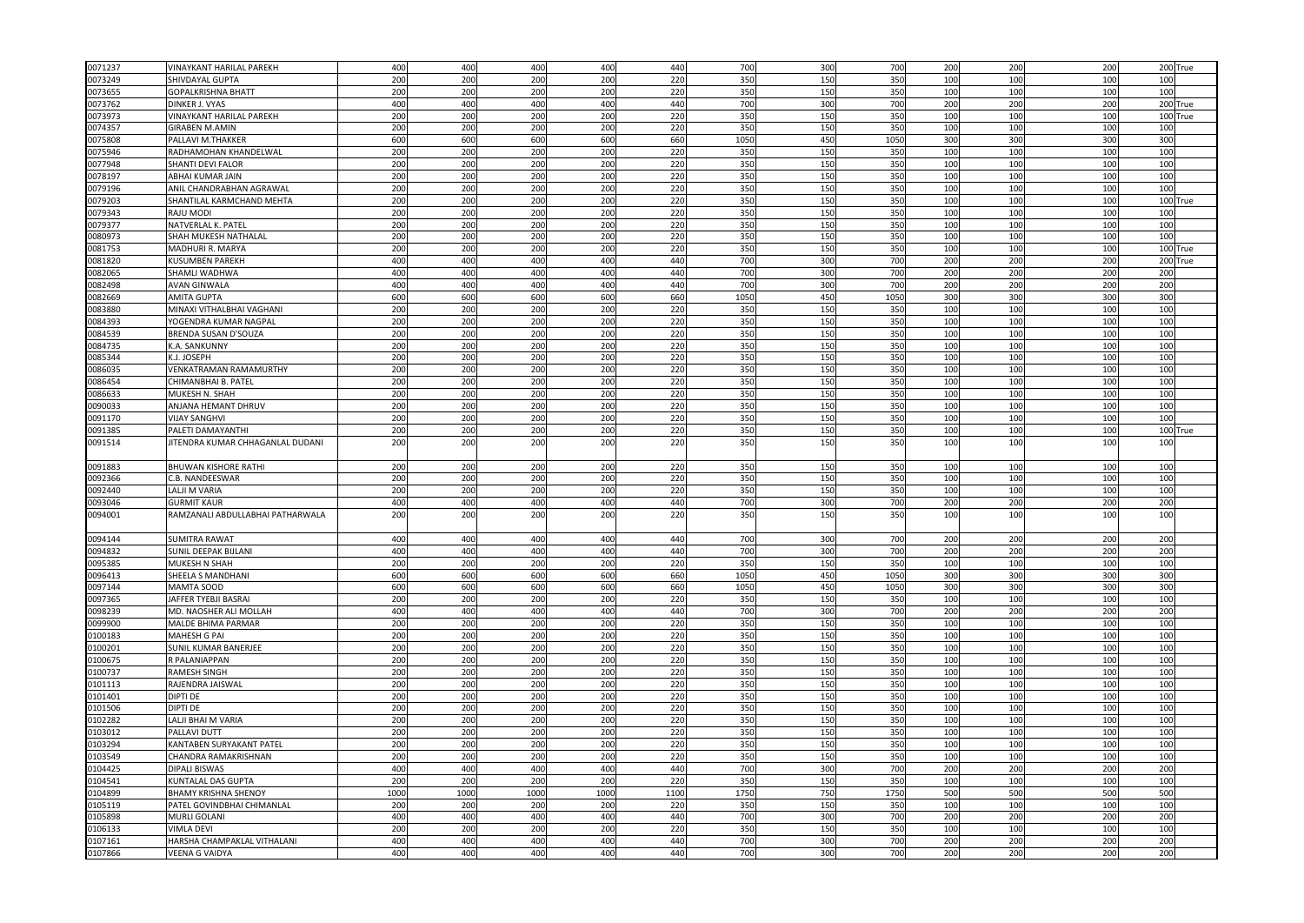| 0071237            | VINAYKANT HARILAL PAREKH                             | 400        | 400        | 400        | 400        | 440        | 700        | 300        | 700             | 200        | 200        | 200             |            | 200 True |
|--------------------|------------------------------------------------------|------------|------------|------------|------------|------------|------------|------------|-----------------|------------|------------|-----------------|------------|----------|
| 0073249            | SHIVDAYAL GUPTA                                      | 200        | 200        | 200        | 200        | 220        | 350        | 150        | 350             | 100        | 100        | 100             | 100        |          |
| 0073655            | <b>GOPALKRISHNA BHATT</b>                            | 200        | 200        | 200        | 200        | 220        | 350        | 150        | 350             | 100        | 100        | 100             | 100        |          |
| 0073762            | <b>DINKER J. VYAS</b>                                | 400        | 400        | 400        | 400        | 440        | 700        | 300        | 700             | 200        | 200        | 200             |            | 200 True |
| 0073973            | VINAYKANT HARILAL PAREKH                             | 200        | 200        | 200        | 200        | 220        | 350        | 150        | 35              | 100        | 100        | 100             |            | 100 True |
| 0074357            | <b>GIRABEN M.AMIN</b>                                | 200        | 200        | 200        | 200        | 220        | 350        | 150        | 350             | 100        | 100        | 100             | 100        |          |
| 0075808            | PALLAVI M.THAKKER                                    | 600        | 600        | 600        | 600        | 660        | 1050       | 450        | 105             | 300        | 300        | 300             | 300        |          |
| 0075946            | RADHAMOHAN KHANDELWAL                                | 200        | 200        | 200        | 200        | 220        | 350        | 150        | 350             | 100        | 100        | 100             | 100        |          |
| 0077948            | SHANTI DEVI FALOR                                    | 200        | 200        | 200        | 200        | 220        | 350        | 150        | 35              | 100        | 100        | 100             | 100        |          |
| 0078197            | ABHAI KUMAR JAIN                                     | 200        | 200        | 200        | 200        | 220        | 350        | 150        | 350             | 100        | 100        | 100             | 100        |          |
| 0079196            | ANIL CHANDRABHAN AGRAWAI                             | 200        | 200        | 200        | 200        | 220        | 350        | 150        | 350             | 100        | 100        | 10 <sub>C</sub> | 100        |          |
| 0079203            | SHANTILAL KARMCHAND MEHTA                            | 200        | 200        | 200        | 200        | 220        | 350        | 150        | 350             | 100        | 100        | 100             |            | 100 True |
| 0079343            | RAJU MODI                                            | 200        | 200        | 200        | 200        | 220        | 350        | 150        | 350             | 100        | 100        | 100             | 100        |          |
| 0079377            | NATVERLAL K. PATEL                                   | 200        | 200        | 200        | 200        | 220        | 350        | 150        | 350             | 100        | 100        | 100             | 100        |          |
| 0080973            | SHAH MUKESH NATHALAI                                 | 200        | 200        | 200        | 200        | 220        | 350        | 150        | 350             | 100        | 100        | 100             | 100        |          |
| 0081753            | MADHURI R. MARYA                                     | 200        | 200        | 200        | 200        | 220        | 350        | 150        | 350             | 100        | 100        | 100             | 1001       | True     |
| 0081820            | <b>KUSUMBEN PAREKH</b>                               | 400        | 400        | 400        | 400        | 440        | 700        | 300        | 700             | 200        | 200        | 200             |            | 200 True |
| 0082065            | SHAMLI WADHWA                                        | 400        | 400        | 400        | 400        | 440        | 700        | 300        | 700             | 200        | 200        | 200             | 200        |          |
| 0082498            | <b>AVAN GINWALA</b>                                  | 400        | 400        | 400        | 400        | 440        | 700        | 300        | 700             | 200        | 200        | 200             | 200        |          |
| 0082669            | <b>AMITA GUPTA</b>                                   | 600        | 600        | 600        | 600        | 660        | 1050       | 450        | 105             | 300        | 300        | 300             | 300        |          |
| 0083880            | MINAXI VITHALBHAI VAGHANI                            | 200        | 200        | 200        | 200        | 220        | 350        | 150        | 350             | 100        | 100        | 100             | 100        |          |
| 0084393            | YOGENDRA KUMAR NAGPAL                                | 200        | 200        | 200        | 200        | 220        | 350        | 150        | 350             | 100        | 100        | 100             | 100        |          |
| 0084539            | BRENDA SUSAN D'SOUZA                                 | 200        | 200        | 200        | 200        | 220        | 350        | 150        | 350             | 100        | 100        | 100             | 100        |          |
| 0084735            | K.A. SANKUNNY                                        | 200        | 200        | 200        | 200        | 220        | 350        | 15C        | 35 <sub>0</sub> | 100        | 100        | 100             | 100        |          |
| 0085344            | K.J. JOSEPH                                          | 200        | 200        | 200        | 200        | 220        | 350        | 150        | 350             | 100        | 100        | 100             | 100        |          |
| 0086035            | VENKATRAMAN RAMAMURTHY                               | 200        | 200        | 200        | 200        | 220        | 350        | 150        | 350             | 100        | 100        | 100             | 100        |          |
| 0086454            | CHIMANBHAI B. PATEL                                  | 200        | 200        | 200        | 200        | 220        | 350        | 150        | 350             | 100        | 100        | 100             | 100        |          |
| 0086633            | MUKESH N. SHAH                                       | 200        | 200        | 200        | 200        | 220        | 350        | 150        | 35 <sub>0</sub> | 100        | 100        | 100             | 100        |          |
| 0090033            | ANJANA HEMANT DHRUV                                  | 200        | 200        | 200        | 200        | 220        | 350        | 150        | 350             | 100        | 100        | 100             | 100        |          |
| 0091170            | <b>VIJAY SANGHVI</b>                                 | 200        | 200        | 200        | 200        | 220        | 350        | 150        | 350             | 100        | 100        | 100             | 100        |          |
| 0091385            | PALETI DAMAYANTHI                                    | 200        | 200        | 200        | 200        | 220        | 350        | 150        | 350             | 100        | 100        | 100             | 100        | True     |
| 0091514            | JITENDRA KUMAR CHHAGANLAL DUDANI                     | 200        | 200        | 200        | 200        | 220        | 350        | 150        | 35 <sub>0</sub> | 100        | 100        | 100             | 100        |          |
|                    |                                                      |            |            |            |            |            |            |            |                 |            |            |                 |            |          |
| 0091883            | <b>BHUWAN KISHORE RATHI</b>                          | 200        | 200        | 200        | 200        | 220        | 350        | 150        | 350             | 100        | 100        | 100             | 100        |          |
| 0092366            | C.B. NANDEESWAR                                      | 200        | 200        | 200        | 200        | 220        | 350        | 150        | 350             | 100        | 100        | 100             | 100        |          |
| 0092440            | LALJI M VARIA                                        | 200        | 200        | 200        | 200        | 220        | 350        | 15C        | 35 <sub>0</sub> | 100        | 100        | 100             | 100        |          |
| 0093046            | <b>GURMIT KAUR</b>                                   | 400        | 400        | 400        | 400        | 440        | 700        | 300        | 700             | 200        | 200        | 200             | 200        |          |
| 0094001            | RAMZANALI ABDULLABHAI PATHARWALA                     | 200        | 200        | 200        | 200        | 220        | 350        | 150        | 350             | 100        | 100        | 100             | 100        |          |
|                    |                                                      |            |            |            |            |            |            |            |                 |            |            |                 |            |          |
| 0094144            | <b>SUMITRA RAWAT</b>                                 | 400        | 400        | 400        | 400        | 440        | 700        | 300        | 70              | 200        | 200        | 200             | 200        |          |
| 0094832            | SUNIL DEEPAK BIJLANI                                 | 400        | 400        | 400        | 400        | 440        | 700        | 300        | 700             | 200        | 200        | 200             | 200        |          |
| 0095385            | MUKESH N SHAH                                        | 200        | 200        | 200        | 200        | 220        | 350        | 150        | 350             | 100        | 100        | 100             | 100        |          |
| 0096413            | SHEELA S MANDHANI                                    | 600        | 600        | 600        | 600        | 660        | 1050       | 450        | 105             | 300        | 300        | 300             | 300        |          |
| 0097144            | MAMTA SOOD                                           | 600        | 600        | 600        | 600        | 660        | 105        | 450        | 105             | 300        | 300        | 300             | 300        |          |
| 0097365            | JAFFER TYEBJI BASRAI                                 | 200        | 200        | 200        | 200        | 220        | 350        | 150        | 35              | 100        | 100        | 100             | 100        |          |
| 0098239            | MD. NAOSHER ALI MOLLAH                               | 400        | 400        | 400        | 400        | 440        | 700        | 300        | 700             | 200        | 200        | 200             | 200        |          |
| 0099900            | MALDE BHIMA PARMAR                                   | 200        | 200        | 200        | 200        | 220        | 350        | 150        | 350             | 100        | 100        | 100             | 100        |          |
| 100183             | <b>MAHESH G PAI</b>                                  | 200        | 200        | 200        | 200        | 220        | 350        | 150        | 35              | 100        | 100        | 100             | 100        |          |
| 0100201            | <b>SUNIL KUMAR BANERJEE</b>                          | 200        | 200        | 200        | 200        | 220        | 350        | 150        | 350             | 100        | 100        | 100             | 100        |          |
| 0100675            | R PALANIAPPAN                                        | 200        | 200        | 200        | 200        | 220        | 350        | 150        | 350             | 100        | 100        | 100             | 100        |          |
| 0100737            | <b>RAMESH SINGH</b>                                  | 200        | 200        | 200        | 200        | 220        | 350        | 150        | 350             | 100        | 100        | 100             | 100        |          |
| 0101113            | RAJENDRA JAISWAL                                     | 200        | 200        | 200        | 200        | 220        | 350        | 150        | 35              | 100        | 100        | 100             | 100        |          |
| 0101401            | <b>DIPTI DE</b>                                      | 200        | 200        | 200        | 200        | 220        | 350        | 150        | 350             | 100        | 100        | 100             | 100        |          |
| 0101506            | <b>DIPTI DE</b>                                      | 200        | 200        | 200        | 200        | 220        | 350        | 150        | 350             | 100        | 100        | 100             | 100        |          |
| 0102282            | LALJI BHAI M VARIA                                   | 200        | 200        | 200        | 200        | 220        | 350        | 150        | 350             | 100        | 100        | 100             | 100        |          |
| 103012             | PALLAVI DUTT                                         | 200        | 200        | 200        | 200        | 220        | 350        | 150        | 350             | 100        | 100        | 100             | 100        |          |
| 0103294            | KANTABEN SURYAKANT PATEI                             | 200        | 200        | 200        | 200        | 220        | 350        | 150        | 350             | 100        | 100        | 100             | 100        |          |
| 0103549            | CHANDRA RAMAKRISHNAN                                 | 200        | 200        | 200        | 200        | 220        | 350        | 150        | 350             | 100        | 100        | 100             | 100        |          |
| 0104425            | <b>DIPALI BISWAS</b>                                 | 400        | 400        | 400        | 400        | 440        | 700        | 300        | 700             | 200        | 200        | 200             | 200        |          |
| 0104541            | KUNTALAL DAS GUPTA                                   | 200        | 200        | 200        | 200        | 220        | 350        | 150        | 350             | 100        | 100        | 100             | 100        |          |
| 0104899            | <b>BHAMY KRISHNA SHENOY</b>                          | 1000       | 1000       | 1000       | 1000       | 1100       | 1750       | 750        | 1750            | 500        | 500        | 500             | 500        |          |
| 0105119            | PATEL GOVINDBHAI CHIMANLAL                           | 200        | 200        | 200        | 200        | 220        | 350        | 150        | 350             | 100        | 100        | 100             | 100        |          |
| 105898             | <b>MURLI GOLAN</b>                                   | 400        | 400        | 400        | 400        | 440        | 700        | 300        | 70              | 200        | 200        | 200             | 200        |          |
|                    |                                                      |            |            |            |            |            |            |            |                 |            |            |                 |            |          |
|                    |                                                      |            |            |            |            |            |            |            |                 |            |            |                 |            |          |
| 106133             | <b>VIMLA DEVI</b>                                    | 200        | 200        | 200        | 200        | 220        | 350        | 150        | 350             | 100        | 100        | 100             | 100        |          |
| 0107161<br>0107866 | HARSHA CHAMPAKLAL VITHALANI<br><b>VEENA G VAIDYA</b> | 400<br>400 | 400<br>400 | 400<br>400 | 400<br>400 | 440<br>440 | 700<br>700 | 300<br>300 | 700<br>700      | 200<br>200 | 200<br>200 | 200<br>200      | 200<br>200 |          |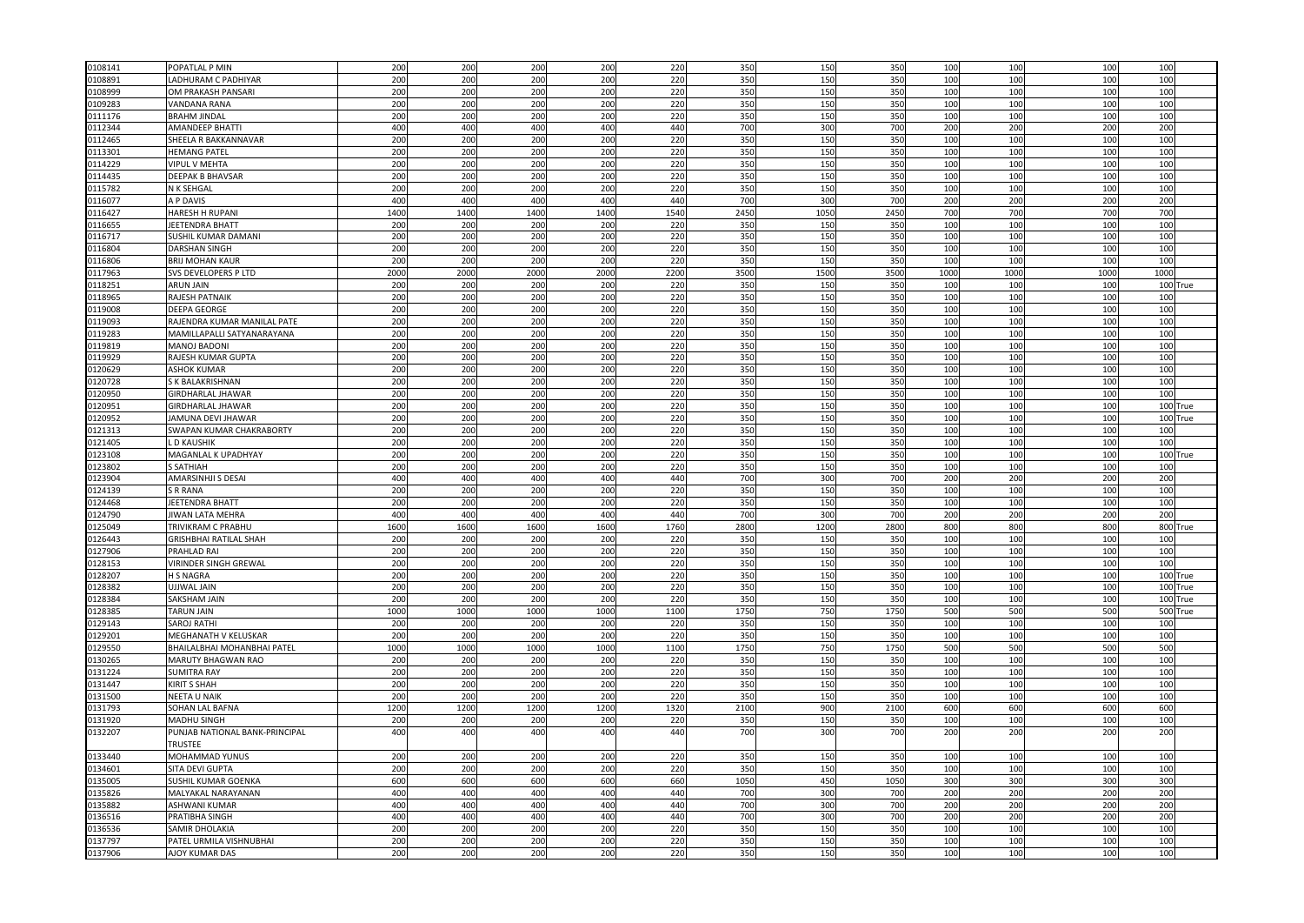| 0108141 | POPATLAL P MIN                 | 200  | 200  | 200  | 200  | 220  | 350             | 150  | 350             | 100  | 100        | 100             | 100  |          |
|---------|--------------------------------|------|------|------|------|------|-----------------|------|-----------------|------|------------|-----------------|------|----------|
| 0108891 | ADHURAM C PADHIYAR             | 200  | 200  | 200  | 200  | 220  | 350             | 150  | 350             | 100  | 100        | 100             | 100  |          |
| 0108999 | OM PRAKASH PANSARI             | 200  | 200  | 200  | 200  | 220  | 350             | 150  | 350             | 100  | 100        | 10 <sub>C</sub> | 100  |          |
| 0109283 | VANDANA RANA                   | 200  | 200  | 200  | 200  | 220  | 350             | 150  | 350             | 100  | 100        | 100             | 100  |          |
| 0111176 | <b>BRAHM JINDAL</b>            | 200  | 200  | 200  | 200  | 220  | 350             | 150  | 350             | 100  | 100        | 100             | 100  |          |
| 0112344 | AMANDEEP BHATTI                | 400  | 400  | 400  | 400  | 440  | 700             | 300  | 700             | 200  | 200        | 200             | 200  |          |
| 0112465 | SHEELA R BAKKANNAVAR           | 200  | 200  | 200  | 200  | 220  | 350             | 150  | 350             | 100  | 100        | 10 <sub>C</sub> | 100  |          |
|         |                                |      |      |      |      |      | 350             | 150  | 350             |      | 100        |                 | 100  |          |
| 0113301 | <b>HEMANG PATEL</b>            | 200  | 200  | 200  | 200  | 220  |                 |      |                 | 100  |            | 100             |      |          |
| 0114229 | <b>VIPUL V MEHTA</b>           | 200  | 200  | 200  | 200  | 220  | 350             | 150  | 350             | 100  | 100        | 100             | 100  |          |
| 0114435 | DEEPAK B BHAVSAR               | 200  | 200  | 200  | 200  | 220  | 350             | 150  | 350             | 100  | 100        | 100             | 100  |          |
| 0115782 | N K SEHGAL                     | 200  | 200  | 200  | 200  | 220  | 350             | 150  | 350             | 100  | 100        | 10 <sub>C</sub> | 100  |          |
| 0116077 | A P DAVIS                      | 400  | 400  | 400  | 400  | 440  | 700             | 300  | 700             | 200  | 200        | 200             | 200  |          |
| 0116427 | HARESH H RUPANI                | 1400 | 1400 | 1400 | 1400 | 1540 | 2450            | 1050 | 2450            | 700  | 700        | 700             | 700  |          |
| 0116655 | JEETENDRA BHATT                | 200  | 200  | 200  | 200  | 220  | 350             | 150  | 350             | 100  | 100        | 100             | 100  |          |
| 0116717 | SUSHIL KUMAR DAMANI            | 200  | 200  | 200  | 200  | 220  | 350             | 150  | 350             | 100  | 100        | 100             | 100  |          |
| 0116804 | <b>DARSHAN SINGH</b>           | 200  | 200  | 200  | 200  | 220  | 350             | 150  | 350             | 100  | 100        | 100             | 100  |          |
| 0116806 | <b>BRIJ MOHAN KAUR</b>         | 200  | 200  | 200  | 200  | 220  | 350             | 150  | 350             | 100  | 100        | 100             | 100  |          |
| 0117963 | SVS DEVELOPERS P LTD           | 2000 | 2000 | 2000 | 2000 | 2200 | 3500            | 1500 | 3500            | 1000 | 1000       | 1000            | 1000 |          |
| 0118251 | <b>ARUN JAIN</b>               | 200  | 200  | 200  | 200  | 220  | 350             | 150  | 350             | 100  | 100        | 100             | 100  | True     |
| 0118965 | RAJESH PATNAIK                 | 200  | 200  | 200  | 200  | 220  | 350             | 150  | 350             | 100  | 100        | 100             | 100  |          |
| 0119008 | DEEPA GEORGE                   | 200  | 200  | 200  | 200  | 220  | 350             | 150  | 350             | 100  | 100        | 100             | 100  |          |
| 0119093 | RAJENDRA KUMAR MANILAL PATE    | 200  | 200  | 200  | 200  | 220  | 350             | 150  | 350             | 100  | 100        | 100             | 100  |          |
| 0119283 | MAMILLAPALLI SATYANARAYANA     | 200  | 200  | 200  | 200  | 220  | 350             | 150  | 350             | 100  | 100        | 100             | 100  |          |
| 119819  | MANOJ BADONI                   | 200  | 200  | 200  | 200  | 220  | 350             | 15C  | 35 <sub>0</sub> | 100  | 100        | 10 <sub>C</sub> | 100  |          |
| 0119929 | RAJESH KUMAR GUPTA             | 200  | 200  | 200  | 200  | 220  | 350             | 150  | 350             | 100  | 100        | 100             | 100  |          |
| 0120629 | <b>ASHOK KUMAR</b>             | 200  | 200  | 200  | 200  | 220  | 350             | 150  | 350             | 100  | 100        | 100             | 100  |          |
|         |                                |      |      |      |      |      |                 |      |                 |      |            |                 |      |          |
| 0120728 | <b>SK BALAKRISHNAN</b>         | 200  | 200  | 200  | 200  | 220  | 350             | 150  | 350             | 100  | 100        | 100             | 100  |          |
| 0120950 | <b>GIRDHARLAL JHAWAR</b>       | 200  | 200  | 200  | 200  | 220  | 35 <sub>0</sub> | 15C  | 35 <sub>0</sub> | 100  | 100        | 10 <sub>0</sub> | 100  |          |
| 0120951 | <b>GIRDHARLAL JHAWAR</b>       | 200  | 200  | 200  | 200  | 220  | 350             | 150  | 350             | 100  | 100        | 100             |      | 100 True |
| 0120952 | JAMUNA DEVI JHAWAR             | 200  | 200  | 200  | 200  | 220  | 350             | 150  | 350             | 100  | 100        | 100             |      | 100 True |
| 0121313 | SWAPAN KUMAR CHAKRABORTY       | 200  | 200  | 200  | 200  | 220  | 350             | 150  | 350             | 100  | 100        | 100             | 100  |          |
| 0121405 | <b>D KAUSHIK</b>               | 20C  | 200  | 200  | 200  | 220  | 35 <sub>0</sub> | 15C  | 350             | 100  | 100        | 100             | 100  |          |
| 0123108 | MAGANLAL K UPADHYAY            | 200  | 200  | 200  | 200  | 220  | 350             | 150  | 350             | 100  | 100        | 10 <sub>C</sub> |      | 100 True |
| 0123802 | S SATHIAH                      | 200  | 200  | 200  | 200  | 220  | 350             | 150  | 350             | 100  | 100        | 100             | 100  |          |
| 0123904 | AMARSINHJI S DESAI             | 400  | 400  | 40   | 400  | 440  | 700             | 300  | 700             | 200  | 200        | 200             | 200  |          |
| 0124139 | S R RANA                       | 20C  | 200  | 200  | 200  | 220  | 35 <sub>0</sub> | 150  | 350             | 100  | 100        | 100             | 100  |          |
| 0124468 | <b>EETENDRA BHATT</b>          | 200  | 200  | 200  | 200  | 220  | 350             | 150  | 350             | 100  | 100        | 100             | 100  |          |
| 0124790 | JIWAN LATA MEHRA               | 400  | 400  | 400  | 400  | 440  | 700             | 300  | 700             | 200  | 200        | 200             | 200  |          |
| 0125049 | TRIVIKRAM C PRABHU             | 1600 | 1600 | 1600 | 1600 | 1760 | 2800            | 1200 | 2800            | 800  | 800        | 800             |      | 800 True |
| 126443  | GRISHBHAI RATILAL SHAH         | 200  | 200  | 200  | 200  | 220  | 350             | 150  | 350             | 100  | 100        | 100             | 100  |          |
| 0127906 | PRAHLAD RAI                    | 200  | 200  | 200  | 200  | 220  | 350             | 150  | 350             | 100  | 100        | 100             | 100  |          |
| 0128153 | <b>VIRINDER SINGH GREWAL</b>   | 200  | 200  | 200  | 200  | 220  | 350             | 150  | 350             | 100  | 100        | 100             | 100  |          |
| 0128207 | <b>H S NAGRA</b>               | 200  | 200  | 200  | 200  | 220  | 350             | 150  | 350             | 100  | 100        | 100             |      | 100 True |
| 0128382 | <b>JJJWAL JAIN</b>             | 200  | 200  | 200  | 200  | 220  | 350             | 150  | 350             | 100  | 100        | 100             | 1001 | True     |
| 0128384 | SAKSHAM JAIN                   | 200  | 200  | 200  | 200  | 220  | 350             | 150  | 350             | 100  | 100        | 100             |      | 100 True |
| 0128385 | <b>TARUN JAIN</b>              | 1000 | 1000 | 1000 | 1000 | 1100 | 1750            | 750  | 1750            | 500  | 500        | 500             |      | 500 True |
| 0129143 | <b>SAROJ RATHI</b>             | 200  | 200  | 200  | 200  | 220  | 350             | 150  | 350             | 100  | 100        | 100             | 100  |          |
| 0129201 | MEGHANATH V KELUSKAR           | 200  | 200  | 200  | 200  | 220  | 350             | 150  | 350             | 100  | 100        | 100             | 100  |          |
|         |                                |      |      |      |      |      |                 |      |                 |      |            |                 |      |          |
| 0129550 | BHAILALBHAI MOHANBHAI PATEL    | 1000 | 1000 | 1000 | 1000 | 1100 | 1750            | 750  | 1750            | 500  | 500<br>100 | 500             | 500  |          |
| 0130265 | MARUTY BHAGWAN RAO             | 200  | 200  | 200  | 200  | 220  | 350             | 150  | 350             | 100  |            | 100             | 100  |          |
| 0131224 | <b>SUMITRA RAY</b>             | 200  | 200  | 200  | 200  | 220  | 350             | 150  | 350             | 100  | 100        | 100             | 100  |          |
| 0131447 | <b>KIRIT S SHAH</b>            | 200  | 200  | 200  | 200  | 220  | 350             | 150  | 350             | 100  | 100        | 100             | 100  |          |
| 0131500 | <b>NEETA U NAIK</b>            | 200  | 200  | 200  | 200  | 220  | 350             | 150  | 350             | 100  | 100        | 100             | 100  |          |
| 0131793 | SOHAN LAL BAFNA                | 1200 | 1200 | 1200 | 1200 | 1320 | 2100            | 900  | 2100            | 600  | 600        | 60C             | 600  |          |
| 0131920 | MADHU SINGH                    | 200  | 200  | 200  | 200  | 220  | 350             | 150  | 350             | 100  | 100        | 100             | 100  |          |
| 0132207 | PUNJAB NATIONAL BANK-PRINCIPAL | 400  | 400  | 400  | 400  | 440  | 700             | 300  | 700             | 200  | 200        | 200             | 200  |          |
|         | TRUSTEE                        |      |      |      |      |      |                 |      |                 |      |            |                 |      |          |
| 0133440 | MOHAMMAD YUNUS                 | 200  | 200  | 200  | 200  | 220  | 350             | 150  | 350             | 100  | 100        | 100             | 100  |          |
| 0134601 | SITA DEVI GUPTA                | 200  | 200  | 200  | 200  | 220  | 350             | 150  | 350             | 100  | 100        | 100             | 100  |          |
| 0135005 | SUSHIL KUMAR GOENKA            | 600  | 600  | 600  | 600  | 660  | 1050            | 450  | 1050            | 300  | 300        | 300             | 300  |          |
| 0135826 | MALYAKAL NARAYANAN             | 400  | 400  | 400  | 400  | 440  | 700             | 300  | 700             | 200  | 200        | 200             | 200  |          |
| 0135882 | ASHWANI KUMAR                  | 400  | 400  | 400  | 400  | 440  | 700             | 300  | 700             | 200  | 200        | 200             | 200  |          |
| 0136516 | PRATIBHA SINGH                 | 400  | 400  | 400  | 400  | 440  | 700             | 300  | 700             | 200  | 200        | 200             | 200  |          |
| 0136536 | SAMIR DHOLAKIA                 | 200  | 200  | 200  | 200  | 220  | 350             | 150  | 350             | 100  | 100        | 100             | 100  |          |
| 0137797 | PATEL URMILA VISHNUBHAI        | 200  | 200  | 200  | 200  | 220  | 350             | 150  | 350             | 100  | 100        | 100             | 100  |          |
| 0137906 | <b>AJOY KUMAR DAS</b>          | 200  | 200  | 200  | 200  | 220  | 350             | 150  | 350             | 100  | 100        | 100             | 100  |          |
|         |                                |      |      |      |      |      |                 |      |                 |      |            |                 |      |          |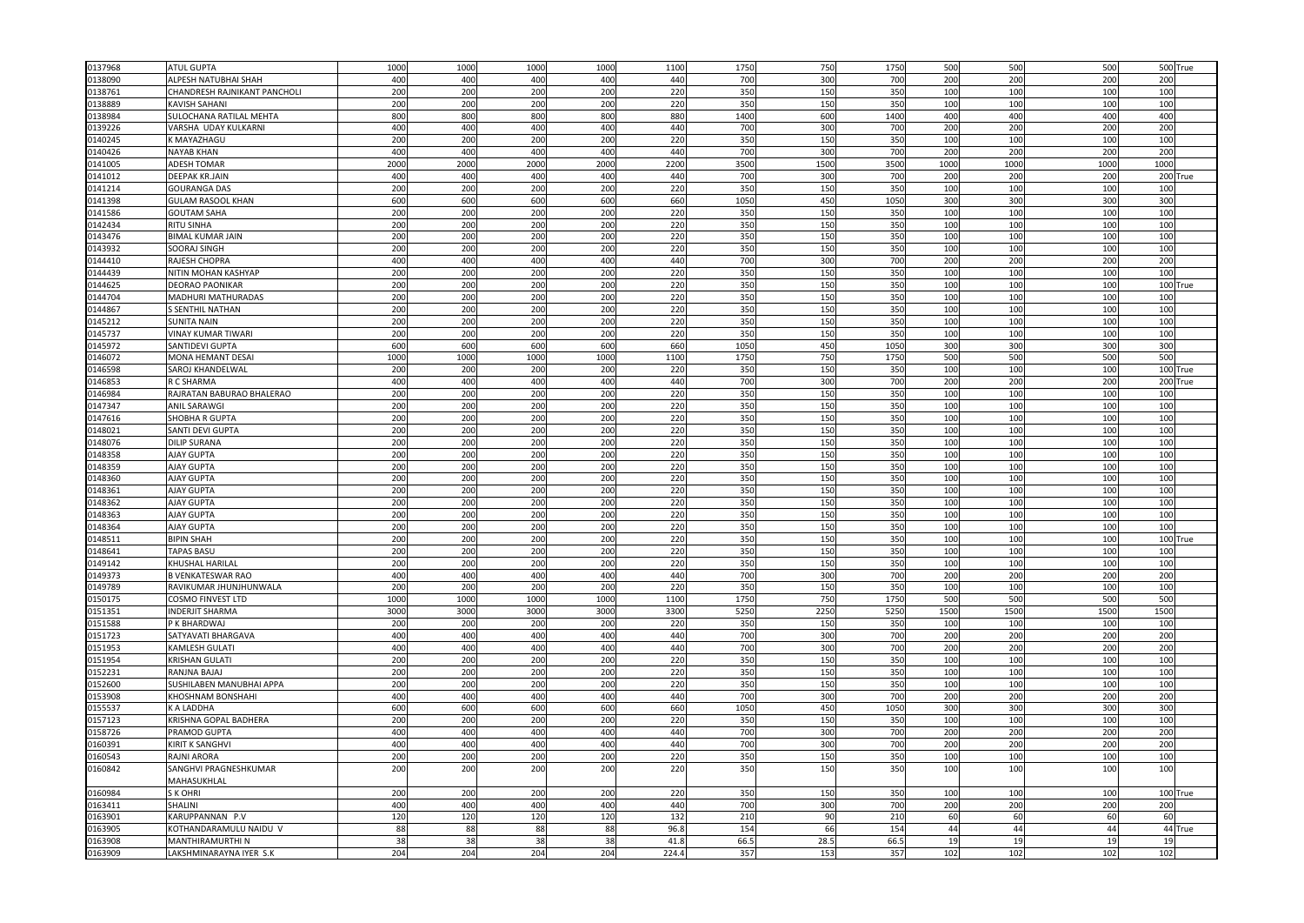| 0137968 | <b>ATUL GUPTA</b>            | 1000 | 1000 | 1000 | 1000 | 1100  | 1750            | 750             | 1750            | 500  | 500  | 500             |      | 500 True |
|---------|------------------------------|------|------|------|------|-------|-----------------|-----------------|-----------------|------|------|-----------------|------|----------|
| 0138090 | ALPESH NATUBHAI SHAH         | 400  | 400  | 400  | 400  | 440   | 700             | 300             | 700             | 200  | 200  | 200             | 200  |          |
| 0138761 | CHANDRESH RAJNIKANT PANCHOLI | 200  | 200  | 200  | 200  | 220   | 350             | 150             | 350             | 100  | 100  | 100             | 100  |          |
| 0138889 | KAVISH SAHANI                | 200  | 200  | 200  | 200  | 220   | 350             | 150             | 350             | 100  | 100  | 100             | 100  |          |
| 0138984 | SULOCHANA RATILAL MEHTA      | 800  | 800  | 800  | 800  | 880   | 1400            | 600             | 1400            | 400  | 400  | 400             | 400  |          |
| 0139226 | VARSHA UDAY KULKARNI         | 400  | 400  | 400  | 400  | 440   | 700             | 300             | 700             | 200  | 200  | 200             | 200  |          |
|         | K MAYAZHAGU                  | 200  | 200  |      | 200  | 220   | 350             | 150             | 350             | 100  | 100  |                 | 100  |          |
| 0140245 |                              |      | 400  | 200  |      |       |                 |                 |                 |      | 200  | 100             | 200  |          |
| 0140426 | <b>NAYAB KHAN</b>            | 400  |      | 400  | 400  | 440   | 700             | 30 <sub>C</sub> | 700             | 200  |      | 200             |      |          |
| 0141005 | <b>ADESH TOMAR</b>           | 2000 | 2000 | 2000 | 2000 | 2200  | 3500            | 1500            | 3500            | 1000 | 1000 | 1000            | 1000 |          |
| 0141012 | DEEPAK KR.JAIN               | 400  | 400  | 400  | 400  | 440   | 700             | 300             | 700             | 200  | 200  | 200             | 2001 | True     |
| 0141214 | <b>GOURANGA DAS</b>          | 200  | 200  | 200  | 200  | 220   | 350             | 150             | 350             | 100  | 100  | 100             | 100  |          |
| 0141398 | <b>GULAM RASOOL KHAN</b>     | 600  | 600  | 600  | 600  | 660   | 1050            | 450             | 1050            | 300  | 300  | 30 <sub>C</sub> | 300  |          |
| 0141586 | <b>GOUTAM SAHA</b>           | 200  | 200  | 200  | 200  | 220   | 350             | 150             | 350             | 100  | 100  | 100             | 100  |          |
| 0142434 | RITU SINHA                   | 200  | 200  | 200  | 200  | 220   | 350             | 150             | 350             | 100  | 100  | 100             | 100  |          |
| 0143476 | <b>BIMAL KUMAR JAIN</b>      | 200  | 200  | 200  | 200  | 220   | 350             | 150             | 350             | 100  | 100  | 100             | 100  |          |
| 0143932 | SOORAJ SINGH                 | 200  | 200  | 200  | 200  | 220   | 350             | 150             | 350             | 100  | 100  | 100             | 100  |          |
| 0144410 | RAJESH CHOPRA                | 400  | 400  | 400  | 400  | 440   | 700             | 300             | 700             | 200  | 200  | 200             | 200  |          |
| 0144439 | NITIN MOHAN KASHYAP          | 200  | 200  | 200  | 200  | 220   | 350             | 150             | 350             | 100  | 100  | 100             | 100  |          |
| 0144625 | DEORAO PAONIKAR              | 200  | 200  | 200  | 200  | 220   | 350             | 150             | 350             | 100  | 100  | 100             |      | 100 True |
| 0144704 | MADHURI MATHURADAS           | 200  | 200  | 200  | 200  | 220   | 350             | 150             | 350             | 100  | 100  | 100             | 100  |          |
| 0144867 | S SENTHIL NATHAN             | 200  | 200  | 200  | 200  | 220   | 350             | 150             | 350             | 100  | 100  | 100             | 100  |          |
| 0145212 | <b>SUNITA NAIN</b>           | 200  | 200  | 200  | 200  | 220   | 350             | 150             | 350             | 100  | 100  | 100             | 100  |          |
| 0145737 | <b>VINAY KUMAR TIWARI</b>    | 200  | 200  | 200  | 200  | 220   | 350             | 150             | 350             | 100  | 100  | 100             | 100  |          |
| 0145972 | SANTIDEVI GUPTA              | 600  | 600  | 600  | 600  | 660   | 1050            | 450             | 1050            | 300  | 300  | 300             | 300  |          |
| 0146072 | MONA HEMANT DESAI            | 1000 | 1000 | 1000 | 1000 | 1100  | 1750            | 750             | 1750            | 500  | 500  | 500             | 500  |          |
| 0146598 | SAROJ KHANDELWAL             | 200  | 200  | 200  | 200  | 220   | 350             | 150             | 350             | 100  | 100  | 100             |      | 100 True |
| 0146853 | R C SHARMA                   | 400  | 400  | 400  | 400  | 440   | 700             | 300             | 700             | 200  | 200  | 200             |      | 200 True |
|         |                              |      |      |      |      |       |                 |                 |                 |      |      |                 |      |          |
| 0146984 | RAJRATAN BABURAO BHALERAO    | 200  | 200  | 20   | 200  | 220   | 35 <sub>0</sub> | 150             | 35 <sub>0</sub> | 100  | 100  | 100             | 100  |          |
| 0147347 | ANIL SARAWGI                 | 200  | 200  | 200  | 200  | 220   | 350             | 150             | 350             | 100  | 100  | 100             | 100  |          |
| 0147616 | SHOBHA R GUPTA               | 200  | 200  | 200  | 200  | 220   | 350             | 150             | 350             | 100  | 100  | 100             | 100  |          |
| 0148021 | SANTI DEVI GUPTA             | 200  | 200  | 200  | 200  | 220   | 350             | 150             | 350             | 100  | 100  | 100             | 100  |          |
| 148076  | <b>DILIP SURANA</b>          | 200  | 200  | 20   | 200  | 220   | 35 <sub>0</sub> | 150             | 350             | 100  | 100  | 100             | 100  |          |
| 0148358 | AJAY GUPTA                   | 200  | 200  | 200  | 200  | 220   | 350             | 150             | 350             | 100  | 100  | 100             | 100  |          |
| 0148359 | <b>AJAY GUPTA</b>            | 200  | 200  | 200  | 200  | 220   | 350             | 150             | 350             | 100  | 100  | 100             | 100  |          |
| 0148360 | AJAY GUPTA                   | 200  | 200  | 200  | 200  | 220   | 350             | 150             | 350             | 100  | 100  | 100             | 100  |          |
| 0148361 | AJAY GUPTA                   | 200  | 200  | 20   | 200  | 220   | 35 <sub>0</sub> | 150             | 35 <sub>0</sub> | 100  | 100  | 100             | 100  |          |
| 0148362 | AJAY GUPTA                   | 200  | 200  | 200  | 200  | 220   | 350             | 150             | 350             | 100  | 100  | 100             | 100  |          |
| 148363  | <b>AJAY GUPTA</b>            | 200  | 200  | 200  | 200  | 220   | 350             | 150             | 350             | 100  | 100  | 100             | 100  |          |
| 0148364 | <b>AJAY GUPTA</b>            | 200  | 200  | 200  | 200  | 220   | 350             | 150             | 350             | 100  | 100  | 100             | 100  |          |
| 0148511 | <b>BIPIN SHAH</b>            | 200  | 200  | 200  | 200  | 220   | 350             | 150             | 350             | 100  | 100  | 10 <sub>C</sub> | 100  | True     |
| 0148641 | TAPAS BASU                   | 200  | 200  | 200  | 200  | 220   | 350             | 150             | 350             | 100  | 100  | 100             | 100  |          |
| 0149142 | KHUSHAL HARILAI              | 200  | 200  | 200  | 200  | 220   | 350             | 150             | 350             | 100  | 100  | 100             | 100  |          |
| 0149373 | <b>B VENKATESWAR RAO</b>     | 400  | 400  | 400  | 400  | 440   | 700             | 300             | 700             | 200  | 200  | 200             | 200  |          |
| 0149789 | RAVIKUMAR JHUNJHUNWALA       | 200  | 200  | 200  | 200  | 220   | 350             | 150             | 350             | 100  | 100  | 100             | 100  |          |
| 0150175 | COSMO FINVEST LTD            | 1000 | 1000 | 1000 | 1000 | 1100  | 1750            | 750             | 1750            | 500  | 500  | 500             | 500  |          |
| 0151351 | NDERJIT SHARMA               | 3000 | 3000 | 3000 | 3000 | 3300  | 5250            | 2250            | 5250            | 1500 | 1500 | 1500            | 1500 |          |
| 0151588 | P K BHARDWAJ                 | 200  | 200  | 200  | 200  | 220   | 350             | 150             | 350             | 100  | 100  | 100             | 100  |          |
| 0151723 | SATYAVATI BHARGAVA           | 400  | 400  | 400  | 400  | 440   | 700             | 300             | 700             | 200  | 200  | 200             | 200  |          |
| 0151953 | KAMLESH GULATI               | 400  | 400  | 400  | 400  | 440   | 700             | 300             | 700             | 200  | 200  | 200             | 200  |          |
| 0151954 | <b>KRISHAN GULATI</b>        | 200  | 200  | 200  | 200  | 220   | 350             | 150             | 350             | 100  | 100  | 100             | 100  |          |
|         | RANJNA BAJAJ                 | 200  | 200  | 200  | 200  |       | 350             | 150             |                 |      | 100  |                 | 100  |          |
| 0152231 |                              |      |      |      |      | 220   |                 |                 | 350             | 100  |      | 100             |      |          |
| 0152600 | SUSHILABEN MANUBHAI APPA     | 200  | 200  | 200  | 200  | 220   | 350             | 150             | 350             | 100  | 100  | 100             | 100  |          |
| 0153908 | KHOSHNAM BONSHAHI            | 400  | 400  | 400  | 400  | 440   | 700             | 300             | 700             | 200  | 200  | 200             | 200  |          |
| 0155537 | <b>KALADDHA</b>              | 600  | 600  | 600  | 600  | 660   | 1050            | 450             | 1050            | 300  | 300  | 300             | 300  |          |
| 0157123 | KRISHNA GOPAL BADHERA        | 200  | 200  | 200  | 200  | 220   | 350             | 150             | 350             | 100  | 100  | 100             | 100  |          |
| 0158726 | PRAMOD GUPTA                 | 400  | 400  | 400  | 400  | 440   | 700             | 300             | 700             | 200  | 200  | 200             | 200  |          |
| 0160391 | KIRIT K SANGHVI              | 400  | 400  | 400  | 400  | 440   | 700             | 300             | 700             | 200  | 200  | 200             | 200  |          |
| 0160543 | RAJNI ARORA                  | 200  | 200  | 200  | 200  | 220   | 350             | 150             | 350             | 100  | 100  | 100             | 100  |          |
| 0160842 | SANGHVI PRAGNESHKUMAR        | 200  | 200  | 200  | 200  | 220   | 350             | 150             | 350             | 100  | 100  | 100             | 100  |          |
|         | MAHASUKHLAL                  |      |      |      |      |       |                 |                 |                 |      |      |                 |      |          |
| 0160984 | S K OHRI                     | 200  | 200  | 200  | 200  | 220   | 350             | 150             | 350             | 100  | 100  | 100             |      | 100 True |
| 0163411 | SHALINI                      | 400  | 400  | 400  | 400  | 440   | 700             | 300             | 700             | 200  | 200  | 200             | 200  |          |
| 0163901 | KARUPPANNAN P.V              | 120  | 120  | 120  | 120  | 132   | 210             | 90              | 210             | 60   | 60   | 60              | 60   |          |
| 0163905 | KOTHANDARAMULU NAIDU V       | 88   | 88   | 88   | 88   | 96.8  | 154             | 66              | 154             | 44   | 44   | 44              |      | 44 True  |
| 0163908 | MANTHIRAMURTHI N             | 38   | 38   | 38   | 38   | 41.8  | 66.5            | 28.5            | 66.5            | 19   | 19   | 19              | 19   |          |
| 0163909 | LAKSHMINARAYNA IYER S.K      | 204  | 204  | 204  | 204  | 224.4 | 357             | 153             | 357             | 102  | 102  | 102             | 102  |          |
|         |                              |      |      |      |      |       |                 |                 |                 |      |      |                 |      |          |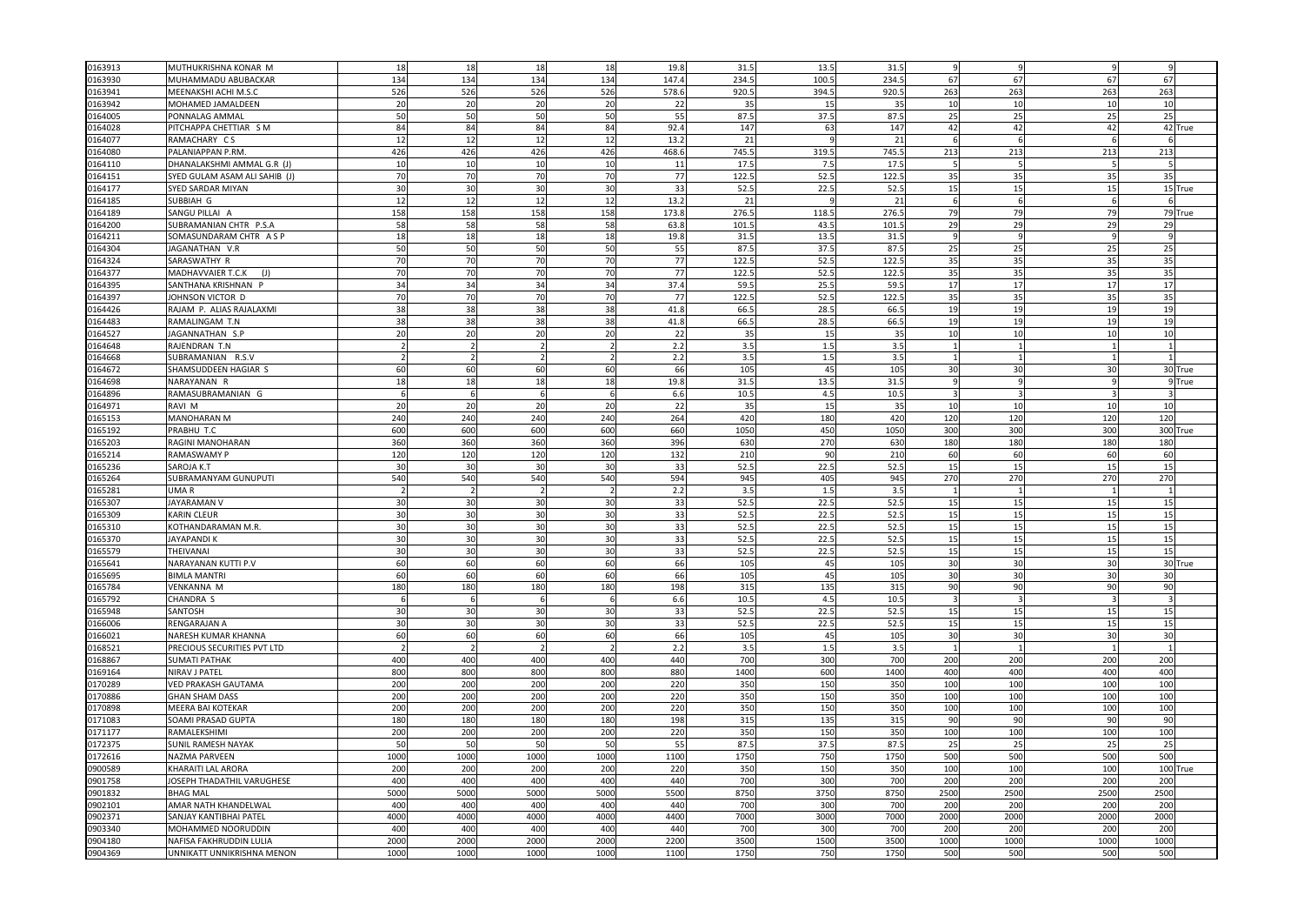| 0163913 | MUTHUKRISHNA KONAR M              | 18                   | 18              | 18   | 18   | 19.8  | 31.5        | 13.5  | 31.5        |      |          |            |                 |          |
|---------|-----------------------------------|----------------------|-----------------|------|------|-------|-------------|-------|-------------|------|----------|------------|-----------------|----------|
| 0163930 | MUHAMMADU ABUBACKAR               | 134                  | 134             | 134  | 134  | 147.4 | 234.        | 100.5 | 234.5       | 67   | 67       | 67         | 67              |          |
| 0163941 | MEENAKSHI ACHI M.S.C              | 526                  | 526             | 526  | 526  | 578.6 | 920.5       | 394.  | 920.5       | 263  | 263      | 263        | 263             |          |
| 0163942 | MOHAMED JAMALDEEN                 | 20                   | 20              | 20   | 20   | 22    | 35          | 15    | 35          | 10   | 10       | 10         | 10              |          |
| 0164005 | PONNALAG AMMAL                    | 50                   | 50              | 50   | 50   | 55    | 87.5        | 37.5  | 87.5        | 25   | 25       | 25         | 25              |          |
| 0164028 | PITCHAPPA CHETTIAR S M            | 84                   | 84              | 84   | 84   | 92.4  | 147         | 63    | 147         | 42   | 42       | 42         |                 | 42 True  |
| 0164077 | RAMACHARY CS                      | 12                   | 12              | 12   | 12   | 13.2  | 21          |       | 21          |      |          |            |                 |          |
| 0164080 | <b>PALANIAPPAN P.RM</b>           | 426                  | 426             | 426  | 426  | 468.6 | 745.        | 319.5 | 745.        | 213  | 213      | 213        | 213             |          |
| 0164110 | DHANALAKSHMI AMMAL G.R (J)        | 10                   | 10              | 10   | 10   | 11    | 17.5        | 7.5   | 17.5        |      |          |            |                 |          |
| 0164151 | SYED GULAM ASAM ALI SAHIB (J)     | 70                   | 70              | 70   | 70   | 77    | 122.        | 52.5  | 122.5       | 35   | 35       | 35         | 35              |          |
| 0164177 | <b>SYED SARDAR MIYAN</b>          | 30                   | 30 <sup>1</sup> | 30   | 30   | 33    | 52.5        | 22.5  | 52.5        | 15   | 15       | 15         |                 | 15 True  |
| 0164185 | SUBBIAH G                         | 12                   | 12              | 12   | 12   | 13.2  | 21          |       | 21          |      |          |            |                 |          |
| 0164189 | SANGU PILLAI A                    | 158                  | 158             | 158  | 158  | 173.8 | 276.5       | 118.5 | 276.5       | 79   | 79       | 79         |                 | 79 True  |
| 0164200 | SUBRAMANIAN CHTR P.S.A            | 58                   | 58              | 58   | 58   | 63.8  | 101.5       | 43.5  | 101.        | 29   | 29       | 29         | 29              |          |
| 0164211 | SOMASUNDARAM CHTR AS P            | 18                   | 18              | 18   | 18   | 19.8  | 31.5        | 13.5  | 31.5        |      |          |            |                 |          |
| 0164304 | AGANATHAN V.R                     | 50                   | 50              | 50   | 50   | 55    | 87.         | 37.5  | 87.5        | 25   | 25       | 25         | 25              |          |
| 0164324 | SARASWATHY R                      | 70                   | 70              | 70   | 70   | 77    | 122.        | 52.5  | 122.5       | 35   | 35       | 35         | 35              |          |
| 0164377 |                                   | 70                   | 70              | 70   | 70   | 77    |             |       | 122.5       | 35   |          | 35         | 35              |          |
|         | MADHAVVAIER T.C.K                 |                      | 34              | 34   | 34   | 37.4  | 122.        | 52.5  |             | 17   | 35<br>17 | 17         | 17              |          |
| 0164395 | SANTHANA KRISHNAN P               | 34<br>7 <sub>C</sub> | 70              | 70   | 70   | 77    | 59.<br>122. | 25.5  | 59.<br>122. | 35   | 35       | 35         | 35              |          |
| 0164397 | JOHNSON VICTOR D                  |                      | 38              |      |      |       |             | 52.5  |             |      |          |            |                 |          |
| 0164426 | RAJAM P. ALIAS RAJALAXMI          | 38                   |                 | 38   | 38   | 41.8  | 66.         | 28.5  | 66.5        | 19   | 19       | 19         | 19              |          |
| 0164483 | RAMALINGAM T.N                    | 38                   | 38              | 38   | 38   | 41.8  | 66.5        | 28.5  | 66.5        | 19   | 19       | 19         | 19              |          |
| 0164527 | JAGANNATHAN S.P                   | 20                   | 20              | 20   | 20   | 22    | 35          | 15    | 35          | 10   | 10       | 10         | 10              |          |
| 0164648 | RAJENDRAN T.N                     |                      |                 |      |      | 2.2   | 3.5         | 1.5   | 3.5         |      |          |            |                 |          |
| 0164668 | SUBRAMANIAN R.S.V                 |                      |                 |      |      | 2.2   | 3.5         | 1.5   | 3.5         |      |          |            |                 |          |
| 0164672 | SHAMSUDDEEN HAGIAR S              | 60                   | 60              | 60   | 60   | 66    | 105         | 45    | 105         | 30   | 30       | 30         |                 | 30 True  |
| 0164698 | NARAYANAN R                       | 18                   | 18              | 18   | 18   | 19.8  | 31.5        | 13.5  | 31.5        |      |          |            |                 | 9True    |
| 0164896 | RAMASUBRAMANIAN G                 |                      | $\epsilon$      |      |      | 6.6   | 10.5        | 4.5   | 10.5        |      |          |            |                 |          |
| 0164971 | RAVI M                            | 20                   | 20              | 20   | 20   | 22    | 35          | 15    | 35          | 10   | 10       | 10         | 10              |          |
| 0165153 | MANOHARAN M                       | 240                  | 240             | 240  | 240  | 264   | 420         | 180   | 420         | 120  | 120      | 120        | 120             |          |
| 0165192 | PRABHU T.C                        | 600                  | 600             | 600  | 600  | 660   | 1050        | 450   | 1050        | 300  | 300      | 300        |                 | 300 True |
| 0165203 | RAGINI MANOHARAN                  | 360                  | 360             | 360  | 360  | 396   | 630         | 270   | 630         | 180  | 180      | 180        | 180             |          |
| 0165214 | RAMASWAMY P                       | 120                  | 120             | 120  | 120  | 132   | 210         | 90    | 210         | 60   | 60       | 60         | 60              |          |
| 0165236 | SAROJA K.T                        | 30                   | 30              | -30  | 30   | 33    | 52.5        | 22.5  | 52.5        | 15   | 15       | 15         | 15              |          |
| 0165264 | SUBRAMANYAM GUNUPUTI              | 540                  | 540             | 540  | 540  | 594   | 945         | 405   | 945         | 270  | 270      | 270        | 270             |          |
| 0165281 | UMA R                             |                      | 2               |      |      | 2.2   | 3.5         | 1.5   | 3.5         |      |          |            |                 |          |
| 0165307 | <b>JAYARAMAN V</b>                | 30                   | 30              | 30   | 30   | 33    | 52.5        | 22.5  | 52.5        | 15   | 15       | 15         | 15              |          |
| 0165309 | KARIN CLEUR                       | 30                   | 30              | 30   | 30   | 33    | 52.5        | 22.5  | 52.5        | 15   | 15       | 15         | 15              |          |
| 0165310 | KOTHANDARAMAN M.R.                | 30                   | 30              | 30   | 30   | 33    | 52.5        | 22.5  | 52.5        | 15   | 15       | 15         | 15              |          |
| 0165370 | JAYAPANDI K                       | 30                   | 30              | 30   | 30   | 33    | 52.         | 22.5  | 52.         | 15   | 15       | 15         | 15              |          |
| 0165579 | THEIVANAI                         | 30                   | 30              | 30   | 30   | 33    | 52.5        | 22.5  | 52.         | 15   | 15       | 15         | 15              |          |
| 0165641 | NARAYANAN KUTTI P.V               | 60                   | 60              | 60   | 60   | 66    | 105         | 45    | 105         | 30   | 30       | 30         | 30 <sup>1</sup> | True     |
| 0165695 | <b>BIMLA MANTRI</b>               | 60                   | 60              | 60   | 60   | 66    | 105         | 45    | 105         | 30   | 30       | 30         | 30              |          |
| 0165784 | VENKANNA M                        | 180                  | 180             | 180  | 180  | 198   | 315         | 135   | 315         | 90   | 90       | 90         | 90              |          |
| 0165792 | CHANDRA S                         |                      | £               |      | F    | 6.6   | 10.5        | 4.5   | 10.5        |      |          |            |                 |          |
| 0165948 | SANTOSH                           | 30                   | 30              | 30   | 30   | 33    | 52.5        | 22.5  | 52.5        | 15   | 15       | 15         | 15              |          |
| 0166006 | RENGARAJAN A                      | 30                   | 30              | 30   | 30   | 33    | 52.5        | 22.5  | 52.5        | 15   | 15       | 15         | 15              |          |
| 0166021 | NARESH KUMAR KHANNA               | 60                   | 60              | 60   | 60   | 66    | 105         | 45    | 105         | 30   | 30       | 30         | 30              |          |
| 0168521 | PRECIOUS SECURITIES PVT LTD       |                      |                 |      |      | 2.2   | 3.5         | 1.5   | 3.5         |      |          |            |                 |          |
| 0168867 | <b>SUMATI PATHAK</b>              | 400                  | 400             | 400  | 400  | 440   | 700         | 300   | 700         | 200  | 200      | 200        | 200             |          |
| 0169164 | NIRAV J PATEL                     | 800                  | 800             | 800  | 800  | 880   | 1400        | 600   | 1400        | 400  | 400      | 400        | 400             |          |
| 0170289 | VED PRAKASH GAUTAMA               | 200                  | 200             | 200  | 200  | 220   | 350         | 150   | 350         | 100  | 100      | 100        | 100             |          |
| 0170886 | <b>GHAN SHAM DASS</b>             | 200                  | 200             | 200  | 200  | 220   | 350         | 150   | 350         | 100  | 100      | 100        | 100             |          |
| 0170898 | MEERA BAI KOTEKAR                 | 200                  | 200             | 200  | 200  | 220   | 350         | 150   | 350         | 100  | 100      | 100        | 100             |          |
| 0171083 | SOAMI PRASAD GUPTA                | 180                  | 180             | 180  | 180  | 198   | 315         | 135   | 315         | 90   | 90       | 90         | 90              |          |
| 0171177 | RAMALEKSHIMI                      | 200                  | 200             | 200  | 200  | 220   | 350         | 150   | 350         | 100  | 100      | 100        | 100             |          |
| 0172375 | <b>SUNIL RAMESH NAYAK</b>         | 50                   | 50              | 50   | 50   | 55    | 87.5        | 37.5  | 87.5        | 25   | 25       | 25         | 25              |          |
| 0172616 | NAZMA PARVEEN                     | 1000                 | 1000            | 1000 | 1000 | 1100  | 1750        | 750   | 1750        | 500  | 500      | 500        | 500             |          |
| 0900589 | KHARAITI LAL ARORA                | 200                  | 200             | 200  | 200  | 220   | 350         | 15C   | 350         | 100  | 100      | 100        |                 | 100 True |
| 0901758 | JOSEPH THADATHIL VARUGHESE        | 400                  | 400             | 400  | 400  | 440   | 700         | 300   | 700         | 200  | 200      | 200        | 200             |          |
| 0901832 | <b>BHAG MAL</b>                   | 5000                 | 5000            | 5000 | 5000 | 5500  | 8750        | 3750  | 8750        | 2500 | 2500     | 2500       | 2500            |          |
| 0902101 | AMAR NATH KHANDELWAL              | 400                  | 400             | 400  | 400  | 440   | 700         | 300   | 700         | 200  | 200      | 200        | 200             |          |
| 0902371 | SANJAY KANTIBHAI PATEL            | 4000                 | 4000            | 4000 | 4000 | 4400  | 7000        | 3000  | 7000        | 2000 | 2000     | 2000       | 2000            |          |
| 0903340 | MOHAMMED NOORUDDIN                | 400                  | 400             | 400  | 400  | 440   | 700         | 300   | 700         | 200  | 200      | <b>200</b> | 200             |          |
|         |                                   |                      |                 |      |      |       |             |       |             |      |          |            |                 |          |
| 0904180 | NAFISA FAKHRUDDIN LULIA           | 2000                 | 2000            | 200  | 2000 | 2200  | 3500        | 1500  | 3500        | 1000 | 1000     | 1000       | 1000            |          |
| 0904369 | <b>JNNIKATT UNNIKRISHNA MENON</b> | 1000                 | 1000            | 1000 | 1000 | 1100  | 1750        | 750   | 1750        | 500  | 500      | 500        | 500             |          |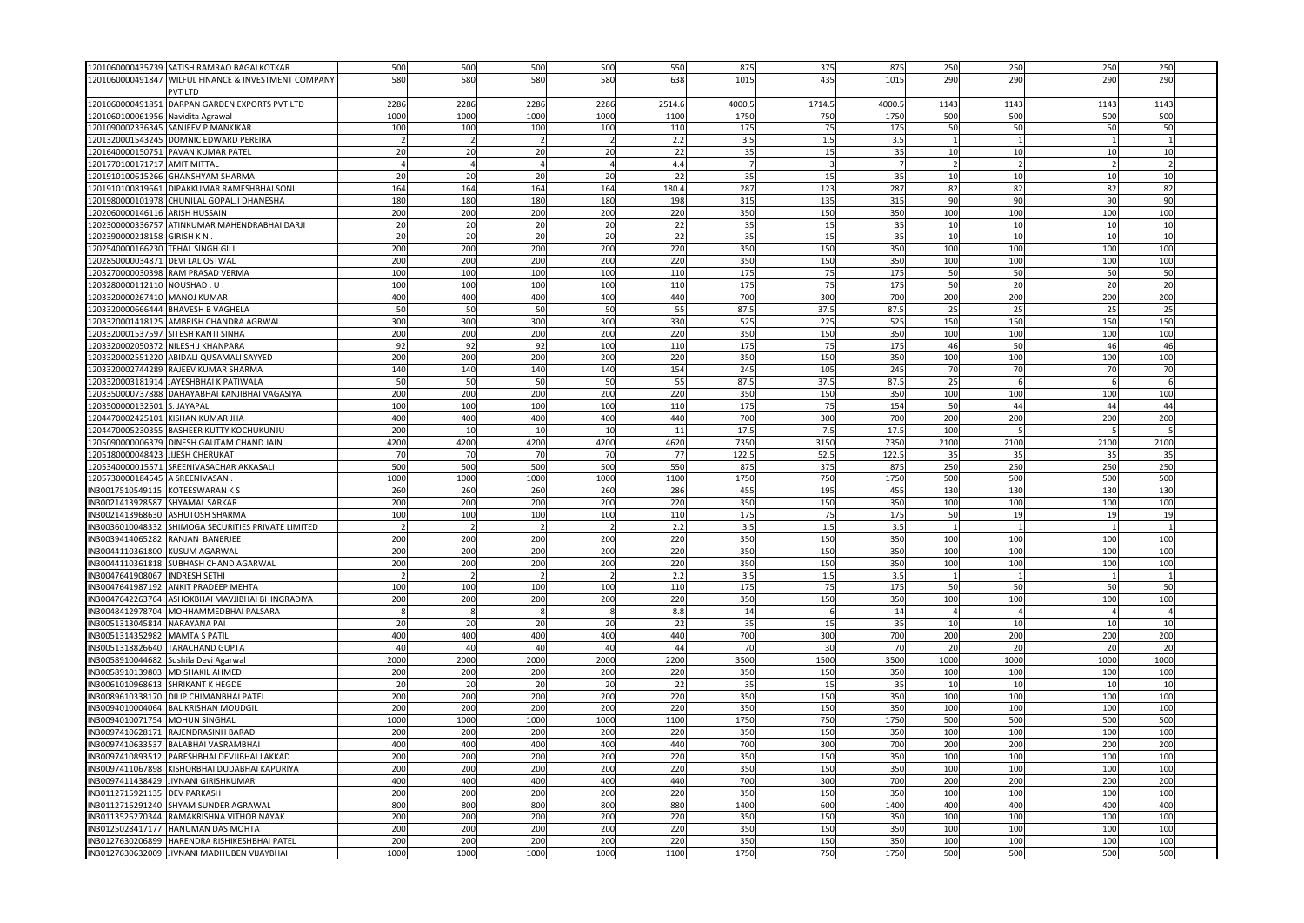| 1201060000435739 SATISH RAMRAO BAGALKOTKAR             | 500  | 500  | 500  | 500  | 550    | 875   | 375   | 875   | 250            | 250  | <b>250</b>      | 250  |  |
|--------------------------------------------------------|------|------|------|------|--------|-------|-------|-------|----------------|------|-----------------|------|--|
| 1201060000491847 WILFUL FINANCE & INVESTMENT COMPANY   | 580  | 580  | 580  | 580  | 638    | 1015  | 435   | 1015  | 290            | 290  | 290             | 290  |  |
| VT LTD                                                 |      |      |      |      |        |       |       |       |                |      |                 |      |  |
| 1201060000491851<br>DARPAN GARDEN EXPORTS PVT LTD      | 2286 | 2286 | 2286 | 2286 | 2514.6 | 4000. | 1714. | 4000. |                | 1143 | 1143            | 1143 |  |
|                                                        |      |      |      |      |        |       |       |       | 1143           |      |                 |      |  |
| 1201060100061956<br>Navidita Agrawal                   | 1000 | 1000 | 1000 | 1000 | 1100   | 1750  | 750   | 1750  | 500            | 500  | 500             | 500  |  |
| 1201090002336345<br>SANJEEV P MANKIKAR                 | 100  | 100  | 100  | 100  | 110    | 175   | 75    | 175   | 50             | 50   | 50              | 50   |  |
| 1201320001543245 DOMNIC EDWARD PEREIRA                 |      |      |      |      | 2.2    | 3.5   | $1.5$ | 3.5   |                |      |                 |      |  |
| 1201640000150751<br>PAVAN KUMAR PATEL                  | 20   | 20   | 20   | 20   | 22     | 35    | 15    | 35    | 10             | 10   | 10              | 10   |  |
| 1201770100171717<br><b>AMIT MITTAL</b>                 |      |      |      |      | 4.4    |       |       |       |                |      |                 |      |  |
| 1201910100615266<br><b>GHANSHYAM SHARMA</b>            | 20   | 20   | 20   | 20   | 22     | 35    | 15    | 35    | 10             | 10   | 10              | 10   |  |
| 1201910100819661<br>DIPAKKUMAR RAMESHBHAI SONI         | 164  | 164  | 164  | 164  | 180.4  | 287   | 123   | 287   | 82             | 82   | 82              | 82   |  |
| 1201980000101978                                       |      |      | 180  |      |        |       |       |       | 90             | 90   | 90              | 90   |  |
| CHUNILAL GOPALJI DHANESHA                              | 180  | 180  |      | 180  | 198    | 315   | 135   | 315   |                |      |                 |      |  |
| 1202060000146116<br><b>ARISH HUSSAIN</b>               | 200  | 200  | 200  | 200  | 220    | 350   | 150   | 350   | 100            | 100  | 100             | 100  |  |
| 1202300000336757<br>ATINKUMAR MAHENDRABHAI DARJI       | 20   | 20   | 20   | 20   | 22     | 35    | 15    | 35    | 10             | 10   | 10              | 10   |  |
| 1202390000218158<br><b>GIRISH KN</b>                   | 20   | 20   | 20   | 20   | 22     | 35    | 15    | 35    | 10             | 10   | 10              | 10   |  |
| 1202540000166230<br><b>TEHAL SINGH GILL</b>            | 200  | 200  | 200  | 200  | 220    | 350   | 150   | 350   | 100            | 100  | 100             | 100  |  |
| 1202850000034871<br>DEVI LAL OSTWAL                    | 200  | 200  | 200  | 200  | 220    | 350   | 150   | 350   | 100            | 100  | 100             | 100  |  |
| 1203270000030398 RAM PRASAD VERMA                      | 100  | 100  | 100  | 100  | 110    | 175   | 75    | 175   | 50             | 50   | 50              | 50   |  |
| 1203280000112110 NOUSHAD . U.                          | 100  | 100  | 100  | 100  | 110    | 175   | 75    | 175   | 50             | 20   | 20              | 20   |  |
| 1203320000267410<br><b>MANOJ KUMAR</b>                 | 400  | 400  | 400  | 400  | 440    | 700   | 300   | 700   | 200            | 200  | 200             | 200  |  |
|                                                        |      |      |      |      |        |       |       |       |                |      |                 |      |  |
| 1203320000666444<br><b>BHAVESH B VAGHELA</b>           | 50   | 50   | 50   | 50   | 55     | 87.5  | 37.5  | 87.5  | 25             | 25   | 25              | 25   |  |
| 1203320001418125 AMBRISH CHANDRA AGRWAL                | 300  | 300  | 300  | 300  | 330    | 525   | 225   | 525   | 150            | 150  | 150             | 150  |  |
| 1203320001537597 SITESH KANTI SINHA                    | 200  | 200  | 200  | 200  | 220    | 350   | 150   | 350   | 100            | 100  | 100             | 100  |  |
| 1203320002050372<br><b>NILESH J KHANPARA</b>           | 92   | 92   | 92   | 100  | 110    | 175   | 75    | 175   | 46             | 50   | 46              | 46   |  |
| 1203320002551220 ABIDALI QUSAMALI SAYYED               | 200  | 200  | 200  | 200  | 220    | 350   | 150   | 350   | 100            | 100  | 100             | 100  |  |
| 1203320002744289 RAJEEV KUMAR SHARMA                   | 140  | 140  | 140  | 140  | 154    | 245   | 105   | 245   | 70             | 70   | 70              | 70   |  |
| 1203320003181914<br>JAYESHBHAI K PATIWALA              | 50   | 50   | 50   | 50   | 55     | 87.5  | 37.5  | 87.5  | 25             |      |                 |      |  |
| 1203350000737888<br>DAHAYABHAI KANJIBHAI VAGASIYA      | 200  | 200  | 200  | 200  | 220    | 350   | 150   | 350   | 100            | 100  | 100             | 100  |  |
|                                                        |      | 100  | 100  |      |        | 175   | 75    |       | 50             | 44   |                 | 44   |  |
| 1203500000132501<br>S. JAYAPAL                         | 100  |      |      | 100  | 110    |       |       | 154   |                |      | 44              |      |  |
| 1204470002425101<br>KISHAN KUMAR JHA                   | 400  | 400  | 400  | 400  | 440    | 700   | 300   | 700   | 200            | 200  | 200             | 200  |  |
| 1204470005230355<br>BASHEER KUTTY KOCHUKUNJU           | 200  | 10   | 10   | 10   | 11     | 17.5  | 7.5   | 17.5  | 100            |      |                 |      |  |
| 1205090000006379<br>DINESH GAUTAM CHAND JAIN           | 4200 | 4200 | 4200 | 4200 | 4620   | 735   | 3150  | 7350  | 2100           | 2100 | 2100            | 2100 |  |
| 1205180000048423<br><b>JIJESH CHERUKAT</b>             | 70   | 70   | 70   | 70   | 77     | 122.  | 52.5  | 122.  | 35             | 35   | 35              | 35   |  |
| 1205340000015571 SREENIVASACHAR AKKASALI               | 500  | 500  | 500  | 500  | 550    | 875   | 375   | 875   | 250            | 250  | 250             | 250  |  |
| 1205730000184545<br>A SREENIVASAN                      | 1000 | 1000 | 1000 | 1000 | 1100   | 1750  | 750   | 1750  | 500            | 500  | 500             | 500  |  |
| IN30017510549115<br>KOTEESWARAN K S                    | 260  | 260  | 260  | 260  | 286    | 455   | 195   | 455   | 130            | 130  | 130             | 130  |  |
| IN30021413928587<br>SHYAMAL SARKAR                     | 200  | 200  | 200  | 200  | 220    | 350   | 150   | 350   | 100            | 100  | 100             | 100  |  |
| IN30021413968630<br>ASHUTOSH SHARMA                    | 100  | 100  | 100  | 100  | 110    | 175   | 75    | 175   | 50             | 19   | 19              | 19   |  |
| IN30036010048332<br>SHIMOGA SECURITIES PRIVATE LIMITED |      |      |      |      | 2.2    | 3.5   | 1.5   | 3.5   |                |      |                 |      |  |
|                                                        |      |      |      |      |        |       |       |       |                |      |                 |      |  |
| IN30039414065282<br>RANJAN BANERJEE                    | 200  | 200  | 200  | 200  | 220    | 350   | 150   | 350   | 100            | 100  | 100             | 100  |  |
| IN30044110361800<br><b>KUSUM AGARWAL</b>               | 200  | 200  | 200  | 200  | 220    | 350   | 150   | 35C   | 100            | 100  | 100             | 100  |  |
| IN30044110361818 SUBHASH CHAND AGARWAL                 | 200  | 200  | 200  | 200  | 220    | 350   | 150   | 350   | 100            | 100  | 100             | 100  |  |
| IN30047641908067<br><b>INDRESH SETHI</b>               |      |      |      |      | 2.2    | 3.5   | 1.5   | 3.5   | $\overline{1}$ |      |                 |      |  |
| IN30047641987192<br>ANKIT PRADEEP MEHTA                | 100  | 100  | 100  | 100  | 110    | 175   | 75    | 175   | 50             | 50   | 50              | 50   |  |
| IN30047642263764<br>ASHOKBHAI MAVJIBHAI BHINGRADIYA    | 200  | 200  | 200  | 200  | 220    | 350   | 150   | 350   | 100            | 100  | 100             | 100  |  |
| IN30048412978704 MOHHAMMEDBHAI PALSARA                 |      |      |      |      | 8.8    | 14    |       | 14    | 4              |      |                 |      |  |
| IN30051313045814 NARAYANA PAI                          | 20   | 20   | 20   | 20   | 22     | 35    | 15    | 35    | 10             | 10   | 10              | 10   |  |
| IN30051314352982<br><b>MAMTA S PATII</b>               | 400  | 400  | 400  | 400  | 440    | 700   | 300   | 700   | 200            | 200  | 200             | 200  |  |
| N30051318826640<br><b>TARACHAND GUPTA</b>              | 40   | 40   | 40   | 40   | 44     | 7(    | 30    | 70    | 20             | 20   | 20              | 20   |  |
|                                                        |      |      |      |      |        |       |       |       |                |      |                 |      |  |
| IN30058910044682<br>Sushila Devi Agarwal               | 2000 | 2000 | 2000 | 2000 | 2200   | 3500  | 1500  | 3500  | 1000           | 1000 | 1000            | 1000 |  |
| <b>MD SHAKIL AHMED</b><br>IN30058910139803             | 200  | 200  | 200  | 200  | 220    | 350   | 150   | 350   | 100            | 100  | 100             | 100  |  |
| IN30061010968613<br><b>SHRIKANT K HEGDE</b>            | 20   | 20   | 20   | 20   | 22     | 35    | 15    | 35    | 10             | 10   | 10              | 10   |  |
| N30089610338170<br>DILIP CHIMANBHAI PATEL              | 200  | 200  | 200  | 200  | 220    | 350   | 150   | 350   | 100            | 100  | 100             | 100  |  |
| IN30094010004064<br><b>BAL KRISHAN MOUDGIL</b>         | 200  | 200  | 200  | 200  | 220    | 350   | 150   | 350   | 100            | 100  | 100             | 100  |  |
| IN30094010071754<br><b>MOHUN SINGHAI</b>               | 1000 | 1000 | 1000 | 1000 | 1100   | 1750  | 750   | 1750  | 500            | 500  | 500             | 500  |  |
| IN30097410628171<br>RAJENDRASINH BARAD                 | 200  | 200  | 200  | 200  | 220    | 350   | 150   | 350   | 100            | 100  | 100             | 100  |  |
| N30097410633537<br><b>BALABHAI VASRAMBHAI</b>          | 400  | 400  | 400  | 400  | 440    | 700   | 300   | 700   | 200            | 200  | 200             | 200  |  |
| IN30097410893512<br>PARESHBHAI DEVJIBHAI LAKKAD        | 200  | 200  | 200  | 200  | 220    | 350   | 150   | 350   | 100            | 100  | 10 <sub>C</sub> | 100  |  |
|                                                        |      |      |      |      |        |       |       |       |                |      |                 |      |  |
| IN30097411067898<br>KISHORBHAI DUDABHAI KAPURIYA       | 200  | 200  | 200  | 200  | 220    | 350   | 150   | 350   | 100            | 100  | 100             | 100  |  |
| IN30097411438429<br>JIVNANI GIRISHKUMAR                | 400  | 400  | 400  | 400  | 440    | 700   | 300   | 700   | 200            | 200  | 200             | 200  |  |
| IN30112715921135<br><b>DEV PARKASH</b>                 | 200  | 200  | 200  | 200  | 220    | 350   | 150   | 350   | 100            | 100  | 100             | 100  |  |
| IN30112716291240<br>SHYAM SUNDER AGRAWAL               | 800  | 800  | 800  | 800  | 880    | 1400  | 600   | 1400  | 400            | 400  | 400             | 400  |  |
| RAMAKRISHNA VITHOB NAYAK<br>IN30113526270344           | 200  | 200  | 200  | 200  | 220    | 350   | 150   | 35C   | 100            | 100  | 100             | 100  |  |
| IN30125028417177<br>HANUMAN DAS MOHTA                  | 200  | 200  | 200  | 200  | 220    | 350   | 150   | 350   | 100            | 100  | 100             | 100  |  |
| IN30127630206899<br>HARENDRA RISHIKESHBHAI PATEI       | 200  | 200  | 200  | 200  | 220    | 350   | 150   | 350   | 100            | 100  | 100             | 100  |  |
| IN30127630632009 JIVNANI MADHUBEN VIJAYBHAI            | 1000 | 1000 | 1000 | 1000 | 1100   | 1750  | 750   | 1750  | 500            | 500  | 500             | 500  |  |
|                                                        |      |      |      |      |        |       |       |       |                |      |                 |      |  |